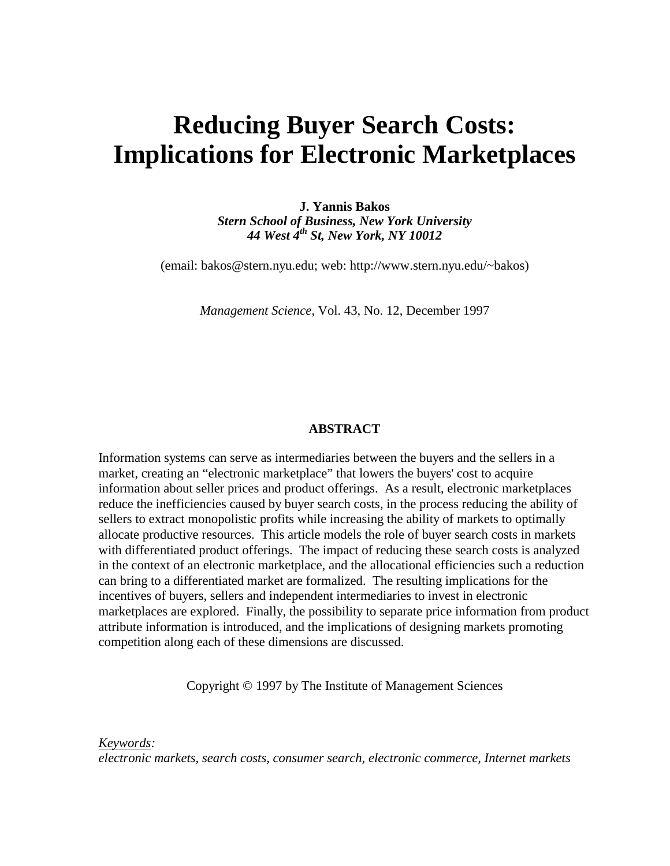# **Reducing Buyer Search Costs: Implications for Electronic Marketplaces**

**J. Yannis Bakos** *Stern School of Business, New York University 44 West 4th St, New York, NY 10012*

(email: bakos@stern.nyu.edu; web: http://www.stern.nyu.edu/~bakos)

*Management Science,* Vol. 43, No. 12, December 1997

#### **ABSTRACT**

Information systems can serve as intermediaries between the buyers and the sellers in a market, creating an "electronic marketplace" that lowers the buyers' cost to acquire information about seller prices and product offerings. As a result, electronic marketplaces reduce the inefficiencies caused by buyer search costs, in the process reducing the ability of sellers to extract monopolistic profits while increasing the ability of markets to optimally allocate productive resources. This article models the role of buyer search costs in markets with differentiated product offerings. The impact of reducing these search costs is analyzed in the context of an electronic marketplace, and the allocational efficiencies such a reduction can bring to a differentiated market are formalized. The resulting implications for the incentives of buyers, sellers and independent intermediaries to invest in electronic marketplaces are explored. Finally, the possibility to separate price information from product attribute information is introduced, and the implications of designing markets promoting competition along each of these dimensions are discussed.

Copyright © 1997 by The Institute of Management Sciences

*Keywords:*

*electronic markets, search costs, consumer search, electronic commerce, Internet markets*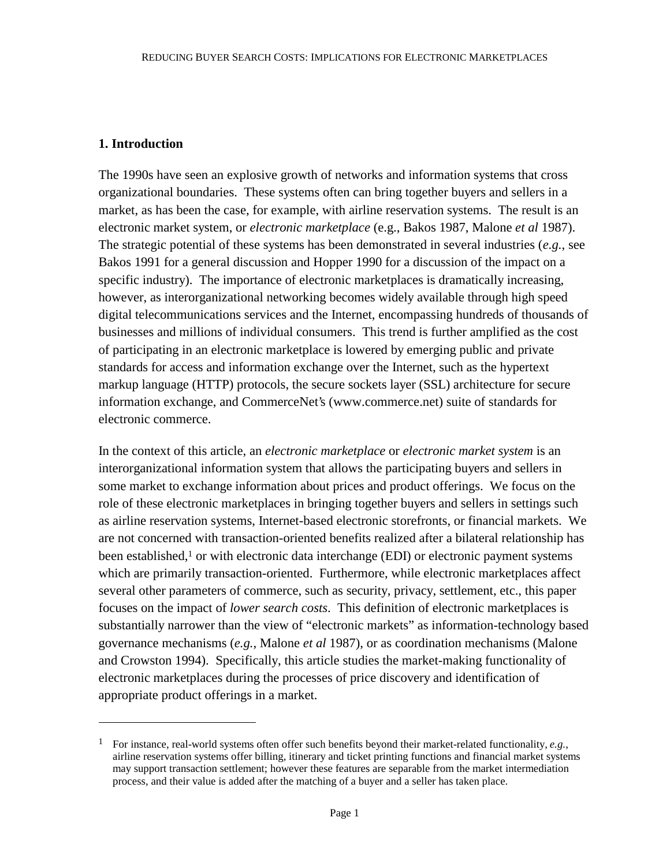# **1. Introduction**

 $\overline{a}$ 

The 1990s have seen an explosive growth of networks and information systems that cross organizational boundaries. These systems often can bring together buyers and sellers in a market, as has been the case, for example, with airline reservation systems. The result is an electronic market system, or *electronic marketplace* (e.g., Bakos 1987, Malone *et al* 1987). The strategic potential of these systems has been demonstrated in several industries (*e.g.*, see Bakos 1991 for a general discussion and Hopper 1990 for a discussion of the impact on a specific industry). The importance of electronic marketplaces is dramatically increasing, however, as interorganizational networking becomes widely available through high speed digital telecommunications services and the Internet, encompassing hundreds of thousands of businesses and millions of individual consumers. This trend is further amplified as the cost of participating in an electronic marketplace is lowered by emerging public and private standards for access and information exchange over the Internet, such as the hypertext markup language (HTTP) protocols, the secure sockets layer (SSL) architecture for secure information exchange, and CommerceNet's (www.commerce.net) suite of standards for electronic commerce.

In the context of this article, an *electronic marketplace* or *electronic market system* is an interorganizational information system that allows the participating buyers and sellers in some market to exchange information about prices and product offerings. We focus on the role of these electronic marketplaces in bringing together buyers and sellers in settings such as airline reservation systems, Internet-based electronic storefronts, or financial markets. We are not concerned with transaction-oriented benefits realized after a bilateral relationship has been established, $<sup>1</sup>$  or with electronic data interchange (EDI) or electronic payment systems</sup> which are primarily transaction-oriented. Furthermore, while electronic marketplaces affect several other parameters of commerce, such as security, privacy, settlement, etc., this paper focuses on the impact of *lower search costs*. This definition of electronic marketplaces is substantially narrower than the view of "electronic markets" as information-technology based governance mechanisms (*e.g.*, Malone *et al* 1987), or as coordination mechanisms (Malone and Crowston 1994). Specifically, this article studies the market-making functionality of electronic marketplaces during the processes of price discovery and identification of appropriate product offerings in a market.

<sup>1</sup> For instance, real-world systems often offer such benefits beyond their market-related functionality, *e.g.*, airline reservation systems offer billing, itinerary and ticket printing functions and financial market systems may support transaction settlement; however these features are separable from the market intermediation process, and their value is added after the matching of a buyer and a seller has taken place.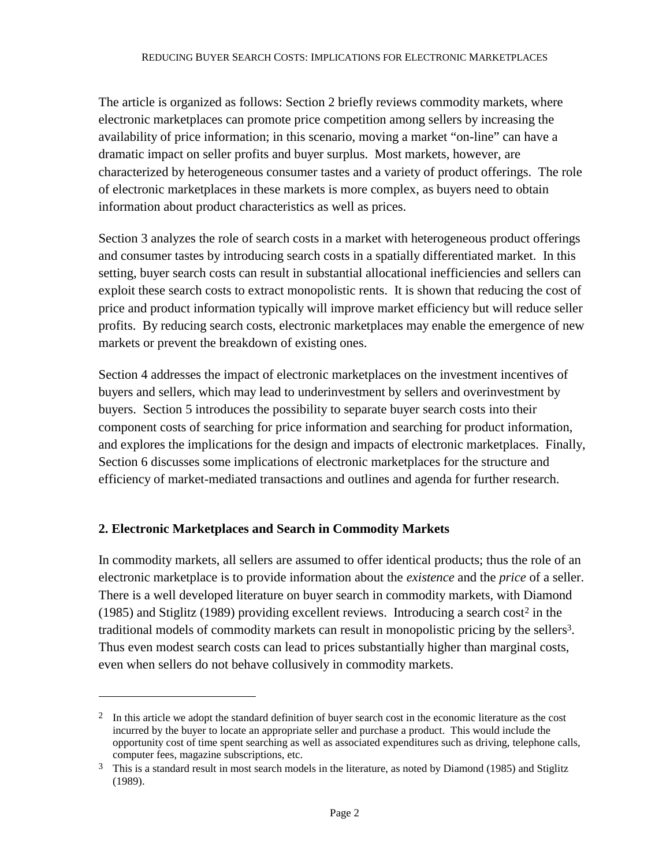The article is organized as follows: Section 2 briefly reviews commodity markets, where electronic marketplaces can promote price competition among sellers by increasing the availability of price information; in this scenario, moving a market "on-line" can have a dramatic impact on seller profits and buyer surplus. Most markets, however, are characterized by heterogeneous consumer tastes and a variety of product offerings. The role of electronic marketplaces in these markets is more complex, as buyers need to obtain information about product characteristics as well as prices.

Section 3 analyzes the role of search costs in a market with heterogeneous product offerings and consumer tastes by introducing search costs in a spatially differentiated market. In this setting, buyer search costs can result in substantial allocational inefficiencies and sellers can exploit these search costs to extract monopolistic rents. It is shown that reducing the cost of price and product information typically will improve market efficiency but will reduce seller profits. By reducing search costs, electronic marketplaces may enable the emergence of new markets or prevent the breakdown of existing ones.

Section 4 addresses the impact of electronic marketplaces on the investment incentives of buyers and sellers, which may lead to underinvestment by sellers and overinvestment by buyers. Section 5 introduces the possibility to separate buyer search costs into their component costs of searching for price information and searching for product information, and explores the implications for the design and impacts of electronic marketplaces. Finally, Section 6 discusses some implications of electronic marketplaces for the structure and efficiency of market-mediated transactions and outlines and agenda for further research.

# **2. Electronic Marketplaces and Search in Commodity Markets**

 $\overline{a}$ 

In commodity markets, all sellers are assumed to offer identical products; thus the role of an electronic marketplace is to provide information about the *existence* and the *price* of a seller. There is a well developed literature on buyer search in commodity markets, with Diamond (1985) and Stiglitz (1989) providing excellent reviews. Introducing a search cost<sup>2</sup> in the traditional models of commodity markets can result in monopolistic pricing by the sellers<sup>3</sup>. Thus even modest search costs can lead to prices substantially higher than marginal costs, even when sellers do not behave collusively in commodity markets.

 $2\;\;$  In this article we adopt the standard definition of buyer search cost in the economic literature as the cost incurred by the buyer to locate an appropriate seller and purchase a product. This would include the opportunity cost of time spent searching as well as associated expenditures such as driving, telephone calls, computer fees, magazine subscriptions, etc.

<sup>3</sup> This is a standard result in most search models in the literature, as noted by Diamond (1985) and Stiglitz (1989).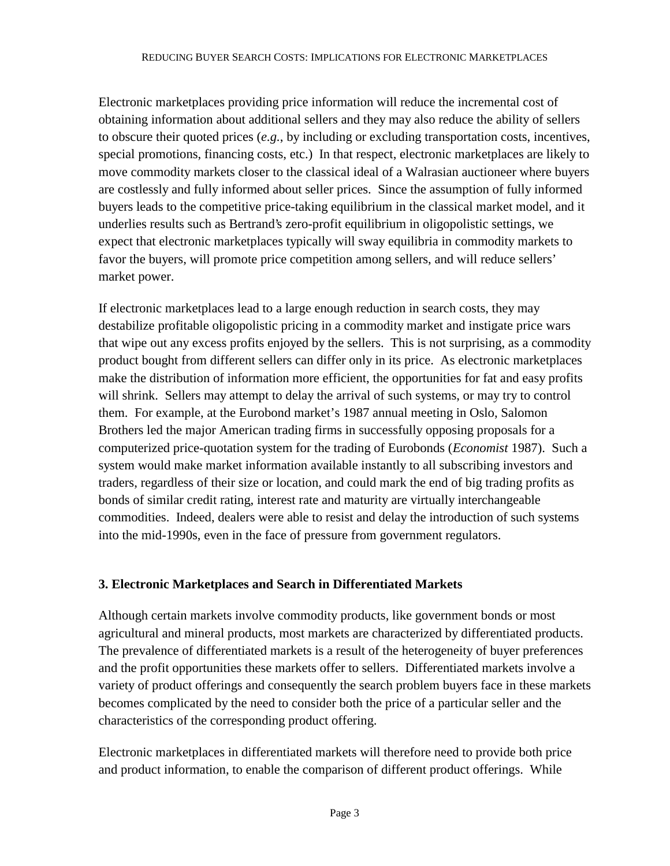Electronic marketplaces providing price information will reduce the incremental cost of obtaining information about additional sellers and they may also reduce the ability of sellers to obscure their quoted prices (*e.g.*, by including or excluding transportation costs, incentives, special promotions, financing costs, etc.) In that respect, electronic marketplaces are likely to move commodity markets closer to the classical ideal of a Walrasian auctioneer where buyers are costlessly and fully informed about seller prices. Since the assumption of fully informed buyers leads to the competitive price-taking equilibrium in the classical market model, and it underlies results such as Bertrand's zero-profit equilibrium in oligopolistic settings, we expect that electronic marketplaces typically will sway equilibria in commodity markets to favor the buyers, will promote price competition among sellers, and will reduce sellers' market power.

If electronic marketplaces lead to a large enough reduction in search costs, they may destabilize profitable oligopolistic pricing in a commodity market and instigate price wars that wipe out any excess profits enjoyed by the sellers. This is not surprising, as a commodity product bought from different sellers can differ only in its price. As electronic marketplaces make the distribution of information more efficient, the opportunities for fat and easy profits will shrink. Sellers may attempt to delay the arrival of such systems, or may try to control them. For example, at the Eurobond market's 1987 annual meeting in Oslo, Salomon Brothers led the major American trading firms in successfully opposing proposals for a computerized price-quotation system for the trading of Eurobonds (*Economist* 1987). Such a system would make market information available instantly to all subscribing investors and traders, regardless of their size or location, and could mark the end of big trading profits as bonds of similar credit rating, interest rate and maturity are virtually interchangeable commodities. Indeed, dealers were able to resist and delay the introduction of such systems into the mid-1990s, even in the face of pressure from government regulators.

# **3. Electronic Marketplaces and Search in Differentiated Markets**

Although certain markets involve commodity products, like government bonds or most agricultural and mineral products, most markets are characterized by differentiated products. The prevalence of differentiated markets is a result of the heterogeneity of buyer preferences and the profit opportunities these markets offer to sellers. Differentiated markets involve a variety of product offerings and consequently the search problem buyers face in these markets becomes complicated by the need to consider both the price of a particular seller and the characteristics of the corresponding product offering.

Electronic marketplaces in differentiated markets will therefore need to provide both price and product information, to enable the comparison of different product offerings. While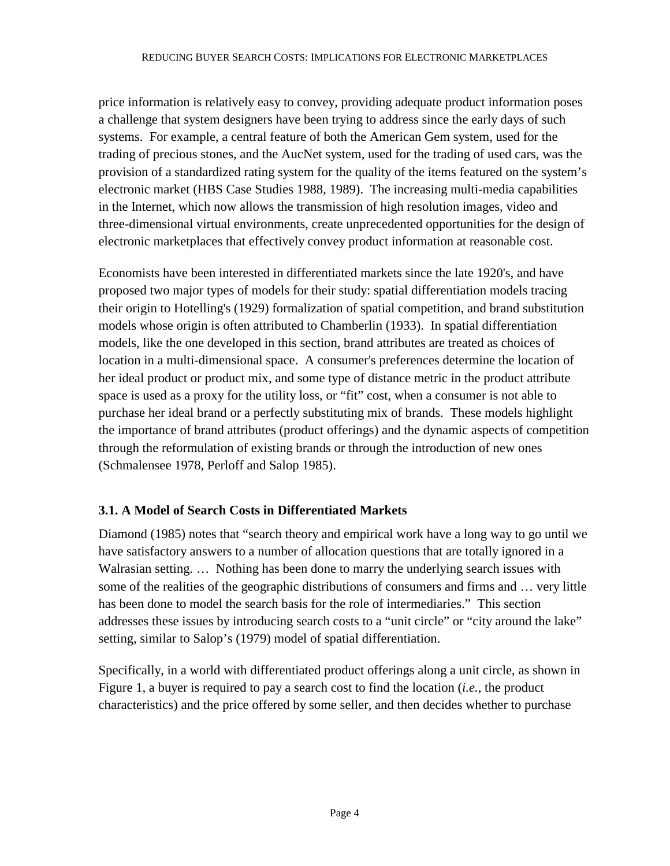price information is relatively easy to convey, providing adequate product information poses a challenge that system designers have been trying to address since the early days of such systems. For example, a central feature of both the American Gem system, used for the trading of precious stones, and the AucNet system, used for the trading of used cars, was the provision of a standardized rating system for the quality of the items featured on the system's electronic market (HBS Case Studies 1988, 1989). The increasing multi-media capabilities in the Internet, which now allows the transmission of high resolution images, video and three-dimensional virtual environments, create unprecedented opportunities for the design of electronic marketplaces that effectively convey product information at reasonable cost.

Economists have been interested in differentiated markets since the late 1920's, and have proposed two major types of models for their study: spatial differentiation models tracing their origin to Hotelling's (1929) formalization of spatial competition, and brand substitution models whose origin is often attributed to Chamberlin (1933). In spatial differentiation models, like the one developed in this section, brand attributes are treated as choices of location in a multi-dimensional space. A consumer's preferences determine the location of her ideal product or product mix, and some type of distance metric in the product attribute space is used as a proxy for the utility loss, or "fit" cost, when a consumer is not able to purchase her ideal brand or a perfectly substituting mix of brands. These models highlight the importance of brand attributes (product offerings) and the dynamic aspects of competition through the reformulation of existing brands or through the introduction of new ones (Schmalensee 1978, Perloff and Salop 1985).

# **3.1. A Model of Search Costs in Differentiated Markets**

Diamond (1985) notes that "search theory and empirical work have a long way to go until we have satisfactory answers to a number of allocation questions that are totally ignored in a Walrasian setting. … Nothing has been done to marry the underlying search issues with some of the realities of the geographic distributions of consumers and firms and … very little has been done to model the search basis for the role of intermediaries." This section addresses these issues by introducing search costs to a "unit circle" or "city around the lake" setting, similar to Salop's (1979) model of spatial differentiation.

Specifically, in a world with differentiated product offerings along a unit circle, as shown in Figure 1, a buyer is required to pay a search cost to find the location (*i.e.*, the product characteristics) and the price offered by some seller, and then decides whether to purchase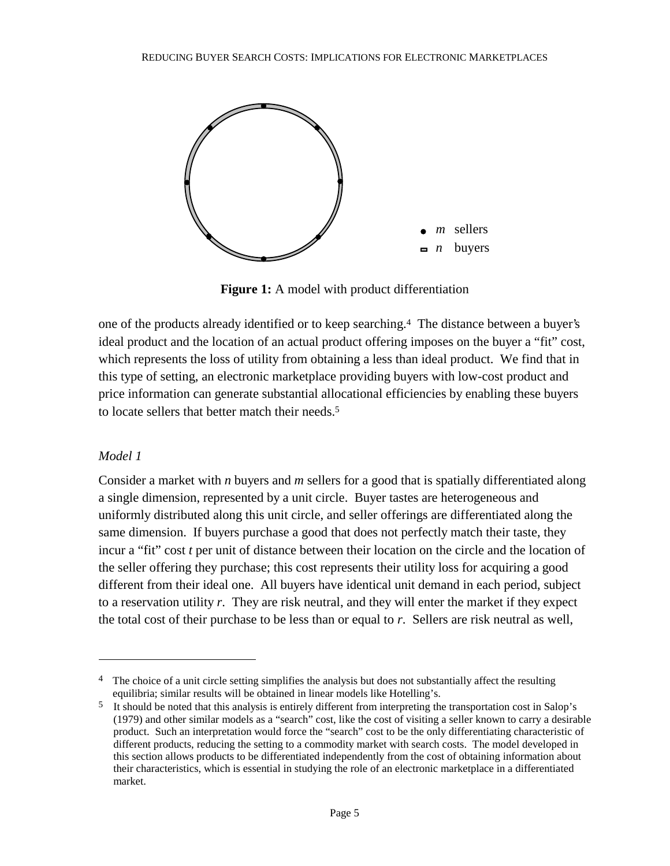

**Figure 1:** A model with product differentiation

one of the products already identified or to keep searching.4 The distance between a buyer's ideal product and the location of an actual product offering imposes on the buyer a "fit" cost, which represents the loss of utility from obtaining a less than ideal product. We find that in this type of setting, an electronic marketplace providing buyers with low-cost product and price information can generate substantial allocational efficiencies by enabling these buyers to locate sellers that better match their needs.5

## *Model 1*

 $\overline{a}$ 

Consider a market with *n* buyers and *m* sellers for a good that is spatially differentiated along a single dimension, represented by a unit circle. Buyer tastes are heterogeneous and uniformly distributed along this unit circle, and seller offerings are differentiated along the same dimension. If buyers purchase a good that does not perfectly match their taste, they incur a "fit" cost *t* per unit of distance between their location on the circle and the location of the seller offering they purchase; this cost represents their utility loss for acquiring a good different from their ideal one. All buyers have identical unit demand in each period, subject to a reservation utility *r*. They are risk neutral, and they will enter the market if they expect the total cost of their purchase to be less than or equal to *r*. Sellers are risk neutral as well,

<sup>&</sup>lt;sup>4</sup> The choice of a unit circle setting simplifies the analysis but does not substantially affect the resulting equilibria; similar results will be obtained in linear models like Hotelling's.

<sup>&</sup>lt;sup>5</sup> It should be noted that this analysis is entirely different from interpreting the transportation cost in Salop's (1979) and other similar models as a "search" cost, like the cost of visiting a seller known to carry a desirable product. Such an interpretation would force the "search" cost to be the only differentiating characteristic of different products, reducing the setting to a commodity market with search costs. The model developed in this section allows products to be differentiated independently from the cost of obtaining information about their characteristics, which is essential in studying the role of an electronic marketplace in a differentiated market.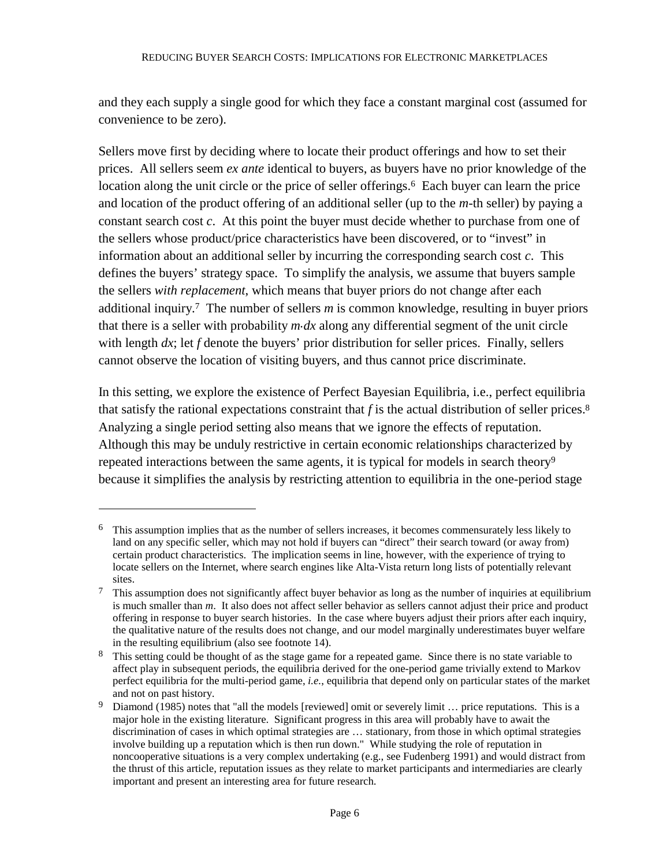and they each supply a single good for which they face a constant marginal cost (assumed for convenience to be zero).

Sellers move first by deciding where to locate their product offerings and how to set their prices. All sellers seem *ex ante* identical to buyers, as buyers have no prior knowledge of the location along the unit circle or the price of seller offerings.<sup>6</sup> Each buyer can learn the price and location of the product offering of an additional seller (up to the *m*-th seller) by paying a constant search cost *c*. At this point the buyer must decide whether to purchase from one of the sellers whose product/price characteristics have been discovered, or to "invest" in information about an additional seller by incurring the corresponding search cost *c*. This defines the buyers' strategy space. To simplify the analysis, we assume that buyers sample the sellers *with replacement*, which means that buyer priors do not change after each additional inquiry.7 The number of sellers *m* is common knowledge, resulting in buyer priors that there is a seller with probability *m.dx* along any differential segment of the unit circle with length *dx*; let *f* denote the buyers' prior distribution for seller prices. Finally, sellers cannot observe the location of visiting buyers, and thus cannot price discriminate.

In this setting, we explore the existence of Perfect Bayesian Equilibria, i.e., perfect equilibria that satisfy the rational expectations constraint that  $f$  is the actual distribution of seller prices.<sup>8</sup> Analyzing a single period setting also means that we ignore the effects of reputation. Although this may be unduly restrictive in certain economic relationships characterized by repeated interactions between the same agents, it is typical for models in search theory<sup>9</sup> because it simplifies the analysis by restricting attention to equilibria in the one-period stage

 $\overline{a}$ 

<sup>6</sup> This assumption implies that as the number of sellers increases, it becomes commensurately less likely to land on any specific seller, which may not hold if buyers can "direct" their search toward (or away from) certain product characteristics. The implication seems in line, however, with the experience of trying to locate sellers on the Internet, where search engines like Alta-Vista return long lists of potentially relevant sites.

 $7$  This assumption does not significantly affect buyer behavior as long as the number of inquiries at equilibrium is much smaller than *m*. It also does not affect seller behavior as sellers cannot adjust their price and product offering in response to buyer search histories. In the case where buyers adjust their priors after each inquiry, the qualitative nature of the results does not change, and our model marginally underestimates buyer welfare in the resulting equilibrium (also see footnote 14).

<sup>&</sup>lt;sup>8</sup> This setting could be thought of as the stage game for a repeated game. Since there is no state variable to affect play in subsequent periods, the equilibria derived for the one-period game trivially extend to Markov perfect equilibria for the multi-period game, *i.e.*, equilibria that depend only on particular states of the market and not on past history.

<sup>&</sup>lt;sup>9</sup> Diamond (1985) notes that "all the models [reviewed] omit or severely limit ... price reputations. This is a major hole in the existing literature. Significant progress in this area will probably have to await the discrimination of cases in which optimal strategies are … stationary, from those in which optimal strategies involve building up a reputation which is then run down." While studying the role of reputation in noncooperative situations is a very complex undertaking (e.g., see Fudenberg 1991) and would distract from the thrust of this article, reputation issues as they relate to market participants and intermediaries are clearly important and present an interesting area for future research.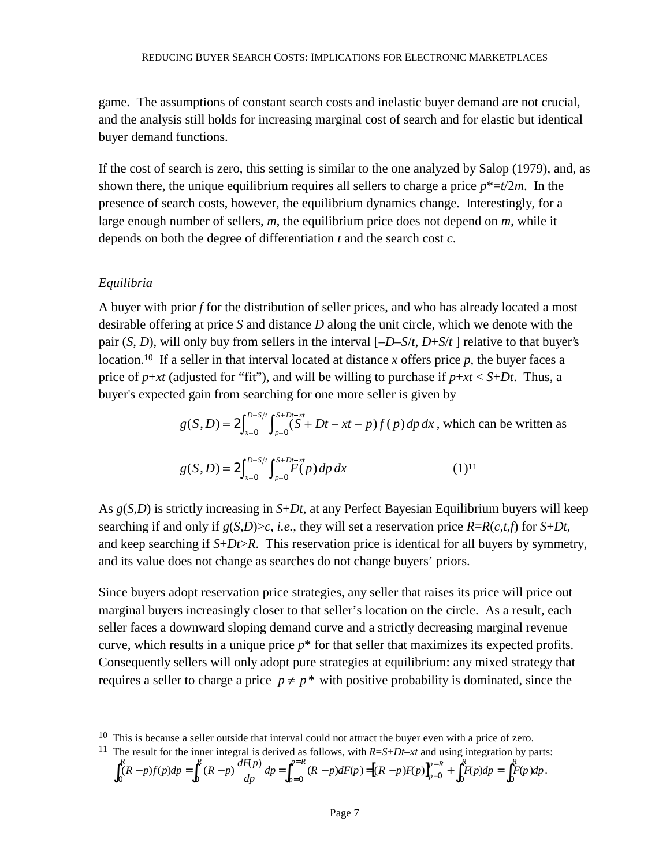game. The assumptions of constant search costs and inelastic buyer demand are not crucial, and the analysis still holds for increasing marginal cost of search and for elastic but identical buyer demand functions.

If the cost of search is zero, this setting is similar to the one analyzed by Salop (1979), and, as shown there, the unique equilibrium requires all sellers to charge a price  $p^* = t/2m$ . In the presence of search costs, however, the equilibrium dynamics change. Interestingly, for a large enough number of sellers, *m*, the equilibrium price does not depend on *m*, while it depends on both the degree of differentiation *t* and the search cost *c*.

## *Equilibria*

 $\overline{a}$ 

A buyer with prior *f* for the distribution of seller prices, and who has already located a most desirable offering at price *S* and distance *D* along the unit circle, which we denote with the pair (*S*, *D*), will only buy from sellers in the interval [*–D–S*/*t*, *D*+*S*/*t* ] relative to that buyer's location.10 If a seller in that interval located at distance *x* offers price *p*, the buyer faces a price of  $p+xt$  (adjusted for "fit"), and will be willing to purchase if  $p+xt < S+Dt$ . Thus, a buyer's expected gain from searching for one more seller is given by

$$
g(S, D) = 2 \int_{x=0}^{D+S/t} \int_{p=0}^{S+Dt-xt} (S+Dt - xt - p) f(p) dp dx
$$
, which can be written as  

$$
g(S, D) = 2 \int_{x=0}^{D+S/t} \int_{p=0}^{S+Dt-xt} F(p) dp dx
$$
(1)<sup>11</sup>

As *g*(*S*,*D*) is strictly increasing in *S*+*Dt*, at any Perfect Bayesian Equilibrium buyers will keep searching if and only if *g*(*S*,*D*)>*c*, *i.e.*, they will set a reservation price *R*=*R*(*c*,*t*,*f*) for *S*+*Dt*, and keep searching if *S*+*Dt*>*R*. This reservation price is identical for all buyers by symmetry, and its value does not change as searches do not change buyers' priors.

Since buyers adopt reservation price strategies, any seller that raises its price will price out marginal buyers increasingly closer to that seller's location on the circle. As a result, each seller faces a downward sloping demand curve and a strictly decreasing marginal revenue curve, which results in a unique price  $p^*$  for that seller that maximizes its expected profits. Consequently sellers will only adopt pure strategies at equilibrium: any mixed strategy that requires a seller to charge a price  $p \neq p^*$  with positive probability is dominated, since the

$$
\int_0^R (R-p)f(p)dp = \int_0^R (R-p)\frac{dF(p)}{dp}dp = \int_{p=0}^{p=R} (R-p)dF(p) = [(R-p)F(p)]_{p=0}^{p=R} + \int_0^R F(p)dp = \int_0^R F(p)dp.
$$

<sup>&</sup>lt;sup>10</sup> This is because a seller outside that interval could not attract the buyer even with a price of zero.

<sup>&</sup>lt;sup>11</sup> The result for the inner integral is derived as follows, with  $R=S+Dt-xt$  and using integration by parts: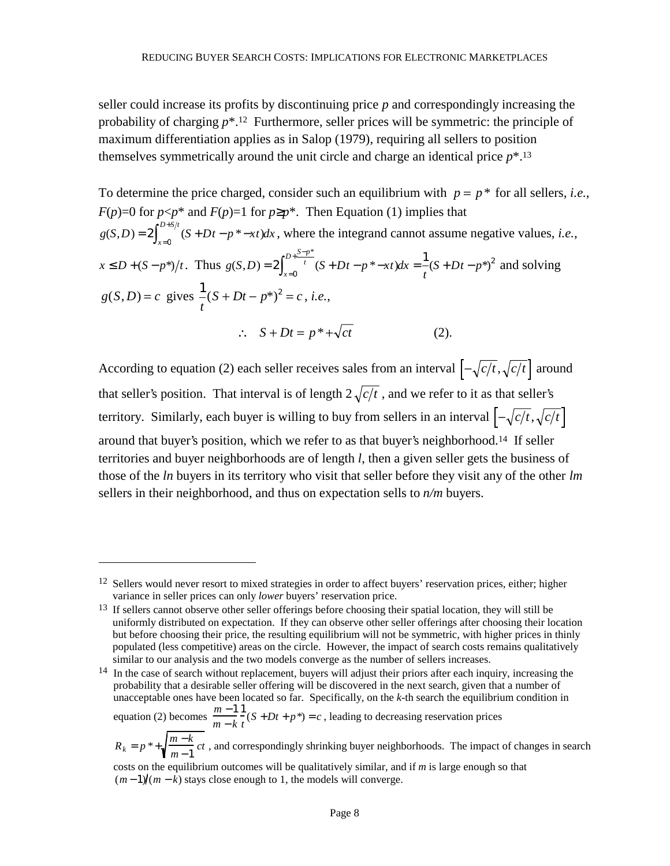seller could increase its profits by discontinuing price *p* and correspondingly increasing the probability of charging *p*\*.12 Furthermore, seller prices will be symmetric: the principle of maximum differentiation applies as in Salop (1979), requiring all sellers to position themselves symmetrically around the unit circle and charge an identical price *p*\*.13

To determine the price charged, consider such an equilibrium with  $p = p^*$  for all sellers, *i.e.*, *F*(*p*)=0 for *p*<*p*<sup>\*</sup> and *F*(*p*)=1 for *p*≥*p*<sup>\*</sup>. Then Equation (1) implies that  $g(S,D) = 2\int_{x=0}^{D+S/t} (S+Dt-p^*-xt)dx$ or  $p \le p^*$  and  $F(p)=1$  for  $p \ge p^*$ . Then Equation (1) implies that<br> $2 \int_{x=0}^{D+S/t} (S+Dt-p^* - xt) dx$ , where the integrand cannot assume negative values, *i.e.*,  $x \le D+(S-p^*)/t$ . Thus  $g(S,D)=2$   $\int_{S}^{t} (S+Dt-p^*-xt)dx$  $\int_{x=0}^{t} (S+Dt-p^* - xt)dx = \frac{1}{t}(S+Dt-p^*)$  $D + \frac{S-p}{P}$  $f(S,D) = 2 \int_0^{+t} (S + Dt - p^* - xt) dx = -(S + Dt - p^*)$ \*  $= 2\int_{x=0}^{t} (S+Dt-p^*-xt)dx = \frac{1}{t}(S+Dt 2\int_{x=0}^{D+\frac{S-p^*}{t}} (S+Dt-p^*-xt)dx = \frac{1}{t}(S+Dt-p^*)^2$  and solving  $g(S, D) = c$  gives  $-(S + Dt - p^*)^2$ *t*  $(S + Dt - p^*)^2 = c$ , *i.e.*,  $\therefore$   $S + Dt = p^* + \sqrt{ct}$  (2).

According to equation (2) each seller receives sales from an interval  $\left[-\sqrt{c/t}, \sqrt{c/t}\right]$  around that seller's position. That interval is of length  $2\sqrt{c/t}$ , and we refer to it as that seller's territory. Similarly, each buyer is willing to buy from sellers in an interval  $\left[-\sqrt{c/t}, \sqrt{c/t}\right]$ around that buyer's position, which we refer to as that buyer's neighborhood.14 If seller territories and buyer neighborhoods are of length *l*, then a given seller gets the business of those of the *ln* buyers in its territory who visit that seller before they visit any of the other *lm* sellers in their neighborhood, and thus on expectation sells to *n/m* buyers.

 $\overline{a}$ 

equation (2) becomes  $\frac{m-1}{1}$ *m* − *k* 1  $\int_{t}^{2} (S + Dt + p^*) = c$ , leading to decreasing reservation prices

<sup>&</sup>lt;sup>12</sup> Sellers would never resort to mixed strategies in order to affect buyers' reservation prices, either; higher variance in seller prices can only *lower* buyers' reservation price.

<sup>&</sup>lt;sup>13</sup> If sellers cannot observe other seller offerings before choosing their spatial location, they will still be uniformly distributed on expectation. If they can observe other seller offerings after choosing their location but before choosing their price, the resulting equilibrium will not be symmetric, with higher prices in thinly populated (less competitive) areas on the circle. However, the impact of search costs remains qualitatively similar to our analysis and the two models converge as the number of sellers increases.

<sup>&</sup>lt;sup>14</sup> In the case of search without replacement, buyers will adjust their priors after each inquiry, increasing the probability that a desirable seller offering will be discovered in the next search, given that a number of unacceptable ones have been located so far. Specifically, on the *k*-th search the equilibrium condition in

 $R_k = p^* + \sqrt{\frac{m-k}{m-1}} ct$ , and correspondingly shrinking buyer neighborhoods. The impact of changes in search

costs on the equilibrium outcomes will be qualitatively similar, and if *m* is large enough so that  $(m-1)/(m-k)$  stays close enough to 1, the models will converge.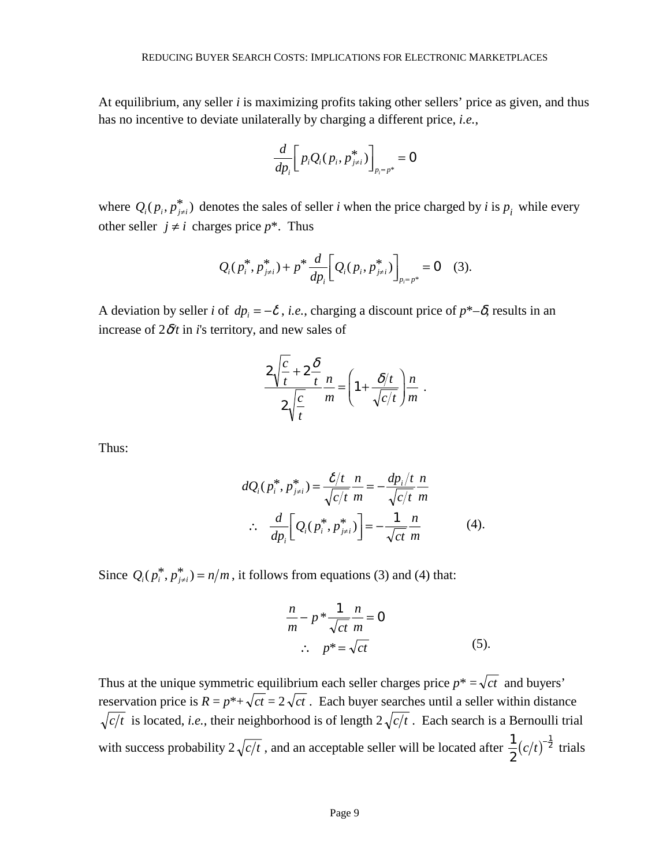At equilibrium, any seller *i* is maximizing profits taking other sellers' price as given, and thus has no incentive to deviate unilaterally by charging a different price, *i.e.*,

$$
\frac{d}{dp_i}\bigg[p_iQ_i(p_i,p_{j\neq i}^*)\bigg]_{p_i=p^*}=0
$$

where  $Q_i(p_i, p_{j \neq i}^*)$  denotes the sales of seller *i* when the price charged by *i* is  $p_i$  while every other seller  $j \neq i$  charges price  $p^*$ . Thus

$$
Q_i(p_i^*, p_{j\neq i}^*) + p^* \frac{d}{dp_i} \left[ Q_i(p_i, p_{j\neq i}^*) \right]_{p_i = p^*} = 0 \quad (3).
$$

A deviation by seller *i* of  $dp_i = -\delta$ , *i.e.*, charging a discount price of  $p^*-\delta$ , results in an increase of  $2\delta t$  in *i*'s territory, and new sales of

$$
\frac{2\sqrt{\frac{c}{t}}+2\frac{\delta}{t}}{2\sqrt{\frac{c}{t}}}m = \left(1+\frac{\delta/t}{\sqrt{c/t}}\right)m.
$$

Thus:

$$
dQ_i(p_i^*, p_{j\neq i}^*) = \frac{\delta/t}{\sqrt{c/t}} \frac{n}{m} = -\frac{dp_i/t}{\sqrt{c/t}} \frac{n}{m}
$$
  
 
$$
\therefore \frac{d}{dp_i} \left[ Q_i(p_i^*, p_{j\neq i}^*) \right] = -\frac{1}{\sqrt{ct}} \frac{n}{m}
$$
 (4).

Since  $Q_i(p_i^*, p_{j \neq i}^*) = n/m$ , it follows from equations (3) and (4) that:

$$
\frac{n}{m} - p * \frac{1}{\sqrt{ct}} \frac{n}{m} = 0
$$
  

$$
\therefore p^* = \sqrt{ct}
$$
 (5).

Thus at the unique symmetric equilibrium each seller charges price  $p^* = \sqrt{ct}$  and buyers' reservation price is  $R = p^* + \sqrt{ct} = 2\sqrt{ct}$ . Each buyer searches until a seller within distance  $\sqrt{c/t}$  is located, *i.e.*, their neighborhood is of length  $2\sqrt{c/t}$ . Each search is a Bernoulli trial with success probability  $2\sqrt{c/t}$ , and an acceptable seller will be located after  $\frac{1}{2}$ 2 1  $en$  distance<br>ernoulli trial<br> $(c/t)^{-\frac{1}{2}}$  trials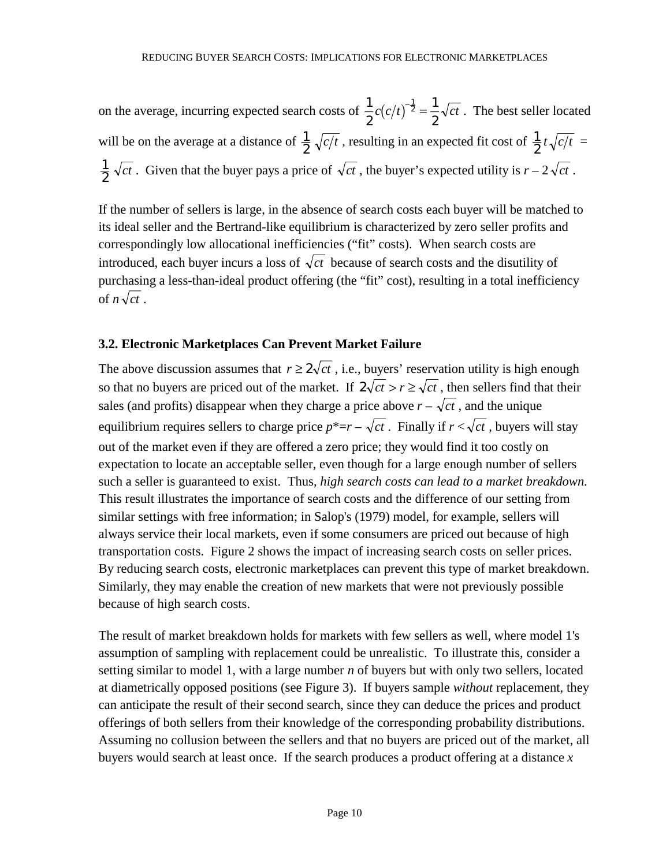on the average, incurring expected search costs of  $\frac{1}{2}$ 2 1 2 1  $c(c/t)^{-\frac{1}{2}} = \frac{1}{2}\sqrt{ct}$ . The best seller located will be on the average at a distance of  $\frac{1}{2} \sqrt{c/t}$ , resulting in an expected fit cost of  $\frac{1}{2} t \sqrt{c/t}$  $\frac{1}{2}$   $\sqrt{ct}$ . Given that the buyer pays a price of  $\sqrt{ct}$ , the buyer's expected utility is  $r - 2\sqrt{ct}$ .

If the number of sellers is large, in the absence of search costs each buyer will be matched to its ideal seller and the Bertrand-like equilibrium is characterized by zero seller profits and correspondingly low allocational inefficiencies ("fit" costs). When search costs are introduced, each buyer incurs a loss of  $\sqrt{ct}$  because of search costs and the disutility of purchasing a less-than-ideal product offering (the "fit" cost), resulting in a total inefficiency of  $n \sqrt{ct}$ .

# **3.2. Electronic Marketplaces Can Prevent Market Failure**

The above discussion assumes that  $r \geq 2\sqrt{ct}$ , i.e., buyers' reservation utility is high enough so that no buyers are priced out of the market. If  $2\sqrt{ct} > r \ge \sqrt{ct}$ , then sellers find that their sales (and profits) disappear when they charge a price above  $r - \sqrt{ct}$ , and the unique equilibrium requires sellers to charge price  $p^* = r - \sqrt{ct}$ . Finally if  $r < \sqrt{ct}$ , buyers will stay out of the market even if they are offered a zero price; they would find it too costly on expectation to locate an acceptable seller, even though for a large enough number of sellers such a seller is guaranteed to exist. Thus, *high search costs can lead to a market breakdown.* This result illustrates the importance of search costs and the difference of our setting from similar settings with free information; in Salop's (1979) model, for example, sellers will always service their local markets, even if some consumers are priced out because of high transportation costs. Figure 2 shows the impact of increasing search costs on seller prices. By reducing search costs, electronic marketplaces can prevent this type of market breakdown. Similarly, they may enable the creation of new markets that were not previously possible because of high search costs.

The result of market breakdown holds for markets with few sellers as well, where model 1's assumption of sampling with replacement could be unrealistic. To illustrate this, consider a setting similar to model 1, with a large number *n* of buyers but with only two sellers, located at diametrically opposed positions (see Figure 3). If buyers sample *without* replacement, they can anticipate the result of their second search, since they can deduce the prices and product offerings of both sellers from their knowledge of the corresponding probability distributions. Assuming no collusion between the sellers and that no buyers are priced out of the market, all buyers would search at least once. If the search produces a product offering at a distance *x*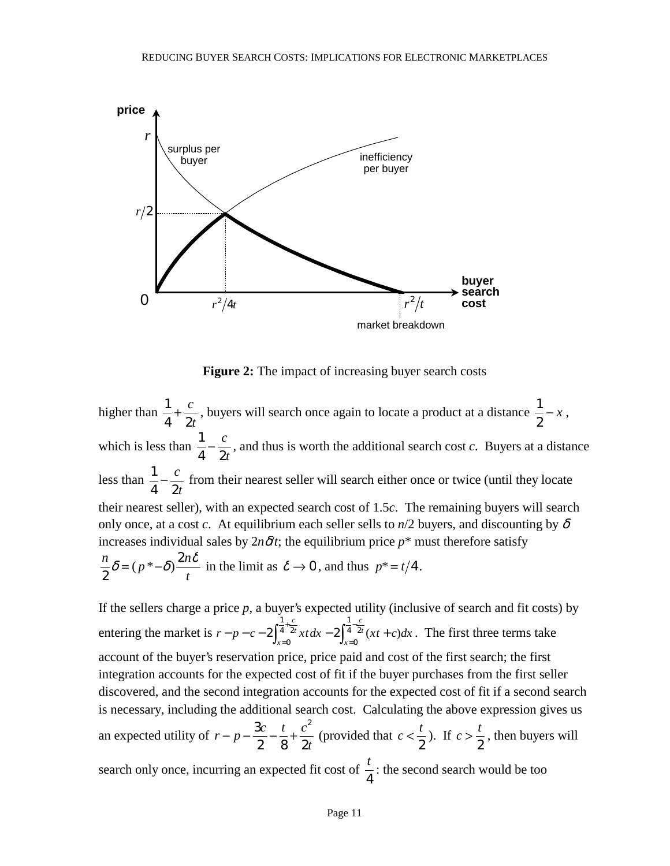

**Figure 2:** The impact of increasing buyer search costs

higher than  $\frac{1}{4}$ 4 2  $+\frac{c}{2}$ *t* , buyers will search once again to locate a product at a distance  $\frac{1}{2} - x$ , which is less than  $\frac{1}{4} - \frac{c}{2t}$ , and thus is worth the additional search cost *c*. Buyers at a distance less than  $\frac{1}{4} - \frac{c}{2t}$  from their nearest seller will search either once or twice (until they locate their nearest seller), with an expected search cost of 1.5*c*. The remaining buyers will search only once, at a cost *c*. At equilibrium each seller sells to  $n/2$  buyers, and discounting by  $\delta$ increases individual sales by  $2n\delta t$ ; the equilibrium price  $p^*$  must therefore satisfy  $\frac{n}{2}\delta = (p^*-\delta)\frac{2n}{2}$ 2  $t$  t  $\delta = (p^* - \delta) \frac{2n\delta}{n}$  in the limit as  $\delta \to 0$ , and thus  $p^* = t/4$ .

If the sellers charge a price  $p$ , a buyer's expected utility (inclusive of search and fit costs) by entering the market is  $r - p - c - 2 \int_{x=0}^{4} \int_{x=0}^{2t} x t \, dx - 2 \int_{x=0}^{4} \int_{x=0}^{2t} (xt + c) dx$ *c t x c*  $-p-c-2\int_{x=0}^{\frac{1}{4}+\frac{y}{2t}} x t \, dx - 2\int_{x=0}^{\frac{1}{4}-\frac{y}{2t}} (xt +$ = −  $2\int_{x=0}^{\frac{1}{4}+\frac{c}{2t}} x t \, dx - 2\int_{0}^{\frac{1}{4}} x^{2} t^{2} dx$ 1 4 2 0 1  $4^{4}$ <sup>2t</sup> (xt + c)dx. The first three terms take account of the buyer's reservation price, price paid and cost of the first search; the first integration accounts for the expected cost of fit if the buyer purchases from the first seller discovered, and the second integration accounts for the expected cost of fit if a second search is necessary, including the additional search cost. Calculating the above expression gives us an expected utility of  $r - p - \frac{3c}{2} - \frac{t}{s} + \frac{c}{2}$ *t*  $-p - \frac{3c}{2} - \frac{t}{2} +$ 2 82 2 (provided that  $c < \frac{t}{2}$ ). If  $c > \frac{t}{2}$ , then buyers will search only once, incurring an expected fit cost of  $\frac{t}{t}$ 4 : the second search would be too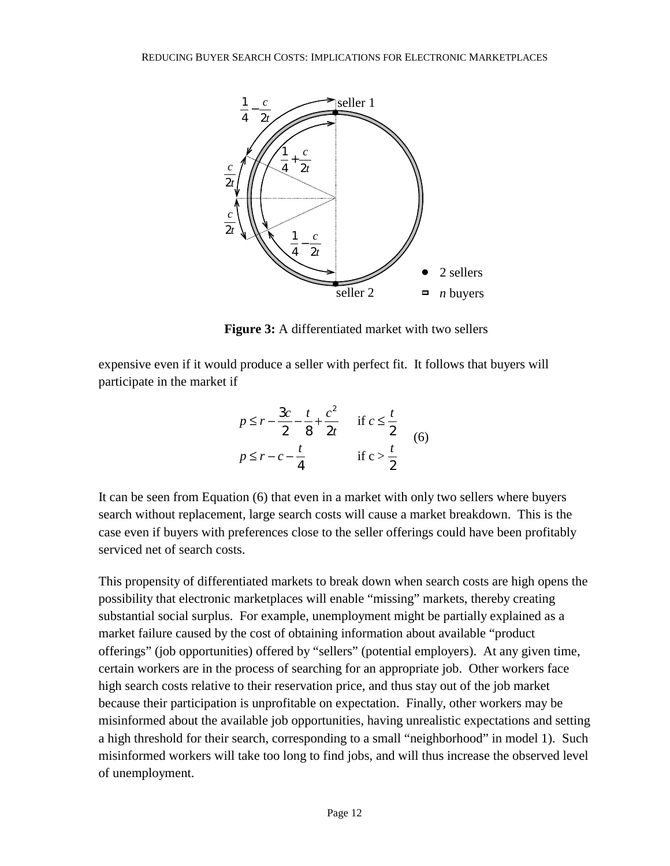

**Figure 3:** A differentiated market with two sellers

expensive even if it would produce a seller with perfect fit. It follows that buyers will participate in the market if

$$
p \le r - \frac{3c}{2} - \frac{t}{8} + \frac{c^2}{2t} \quad \text{if } c \le \frac{t}{2}
$$
  

$$
p \le r - c - \frac{t}{4} \quad \text{if } c > \frac{t}{2}
$$
 (6)

It can be seen from Equation (6) that even in a market with only two sellers where buyers search without replacement, large search costs will cause a market breakdown. This is the case even if buyers with preferences close to the seller offerings could have been profitably serviced net of search costs.

This propensity of differentiated markets to break down when search costs are high opens the possibility that electronic marketplaces will enable "missing" markets, thereby creating substantial social surplus. For example, unemployment might be partially explained as a market failure caused by the cost of obtaining information about available "product offerings" (job opportunities) offered by "sellers" (potential employers). At any given time, certain workers are in the process of searching for an appropriate job. Other workers face high search costs relative to their reservation price, and thus stay out of the job market because their participation is unprofitable on expectation. Finally, other workers may be misinformed about the available job opportunities, having unrealistic expectations and setting a high threshold for their search, corresponding to a small "neighborhood" in model 1). Such misinformed workers will take too long to find jobs, and will thus increase the observed level of unemployment.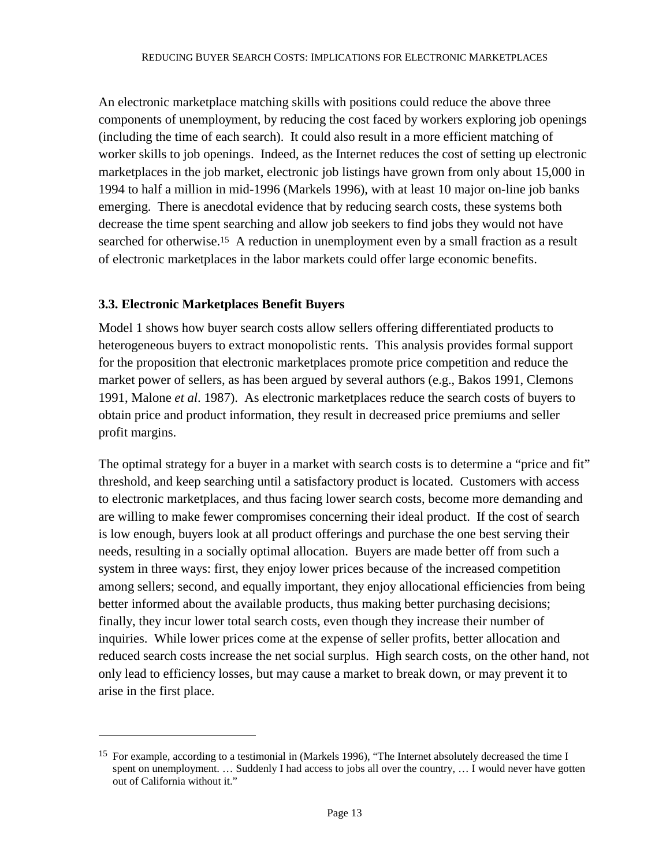An electronic marketplace matching skills with positions could reduce the above three components of unemployment, by reducing the cost faced by workers exploring job openings (including the time of each search). It could also result in a more efficient matching of worker skills to job openings. Indeed, as the Internet reduces the cost of setting up electronic marketplaces in the job market, electronic job listings have grown from only about 15,000 in 1994 to half a million in mid-1996 (Markels 1996), with at least 10 major on-line job banks emerging. There is anecdotal evidence that by reducing search costs, these systems both decrease the time spent searching and allow job seekers to find jobs they would not have searched for otherwise.<sup>15</sup> A reduction in unemployment even by a small fraction as a result of electronic marketplaces in the labor markets could offer large economic benefits.

# **3.3. Electronic Marketplaces Benefit Buyers**

 $\overline{a}$ 

Model 1 shows how buyer search costs allow sellers offering differentiated products to heterogeneous buyers to extract monopolistic rents. This analysis provides formal support for the proposition that electronic marketplaces promote price competition and reduce the market power of sellers, as has been argued by several authors (e.g., Bakos 1991, Clemons 1991, Malone *et al*. 1987). As electronic marketplaces reduce the search costs of buyers to obtain price and product information, they result in decreased price premiums and seller profit margins.

The optimal strategy for a buyer in a market with search costs is to determine a "price and fit" threshold, and keep searching until a satisfactory product is located. Customers with access to electronic marketplaces, and thus facing lower search costs, become more demanding and are willing to make fewer compromises concerning their ideal product. If the cost of search is low enough, buyers look at all product offerings and purchase the one best serving their needs, resulting in a socially optimal allocation. Buyers are made better off from such a system in three ways: first, they enjoy lower prices because of the increased competition among sellers; second, and equally important, they enjoy allocational efficiencies from being better informed about the available products, thus making better purchasing decisions; finally, they incur lower total search costs, even though they increase their number of inquiries. While lower prices come at the expense of seller profits, better allocation and reduced search costs increase the net social surplus. High search costs, on the other hand, not only lead to efficiency losses, but may cause a market to break down, or may prevent it to arise in the first place.

<sup>15</sup> For example, according to a testimonial in (Markels 1996), "The Internet absolutely decreased the time I spent on unemployment. ... Suddenly I had access to jobs all over the country, ... I would never have gotten out of California without it."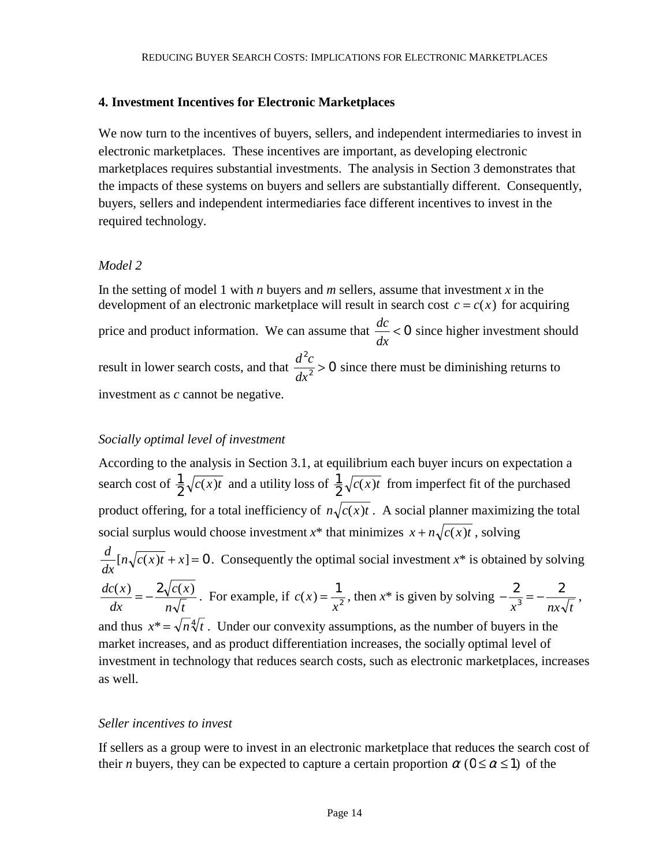## **4. Investment Incentives for Electronic Marketplaces**

We now turn to the incentives of buyers, sellers, and independent intermediaries to invest in electronic marketplaces. These incentives are important, as developing electronic marketplaces requires substantial investments. The analysis in Section 3 demonstrates that the impacts of these systems on buyers and sellers are substantially different. Consequently, buyers, sellers and independent intermediaries face different incentives to invest in the required technology.

## *Model 2*

In the setting of model 1 with *n* buyers and *m* sellers, assume that investment *x* in the development of an electronic marketplace will result in search cost  $c = c(x)$  for acquiring price and product information. We can assume that *dc dx* < 0 since higher investment should result in lower search costs, and that  $\frac{d^2c}{dx^2}$ *dx* 2  $\frac{c}{2}$  > 0 since there must be diminishing returns to investment as *c* cannot be negative.

## *Socially optimal level of investment*

According to the analysis in Section 3.1, at equilibrium each buyer incurs on expectation a search cost of  $\frac{1}{2} \sqrt{c(x)t}$  and a utility loss of  $\frac{1}{2} \sqrt{c(x)t}$  from imperfect fit of the purchased product offering, for a total inefficiency of  $n\sqrt{c(x)t}$ . A social planner maximizing the total social surplus would choose investment  $x^*$  that minimizes  $x + n\sqrt{c(x)t}$ , solving *d dx*  $[n\sqrt{c(x)t} + x] = 0$ . Consequently the optimal social investment  $x^*$  is obtained by solving *dc x dx*  $c(x)$  $n \sqrt{t}$  $\frac{(x)}{x} = -\frac{2\sqrt{c(x)}}{\sqrt{c}}$ . For example, if  $c(x)$ *x*  $f(x) = \frac{1}{x^2}$ , then  $x^*$  is given by solving  $-\frac{2}{x^3} = -\frac{2}{nx\sqrt{t}}$ ,

and thus  $x^* = \sqrt{n} \sqrt[4]{t}$ . Under our convexity assumptions, as the number of buyers in the market increases, and as product differentiation increases, the socially optimal level of investment in technology that reduces search costs, such as electronic marketplaces, increases as well.

## *Seller incentives to invest*

If sellers as a group were to invest in an electronic marketplace that reduces the search cost of their *n* buyers, they can be expected to capture a certain proportion  $\alpha$  ( $0 \le \alpha \le 1$ ) of the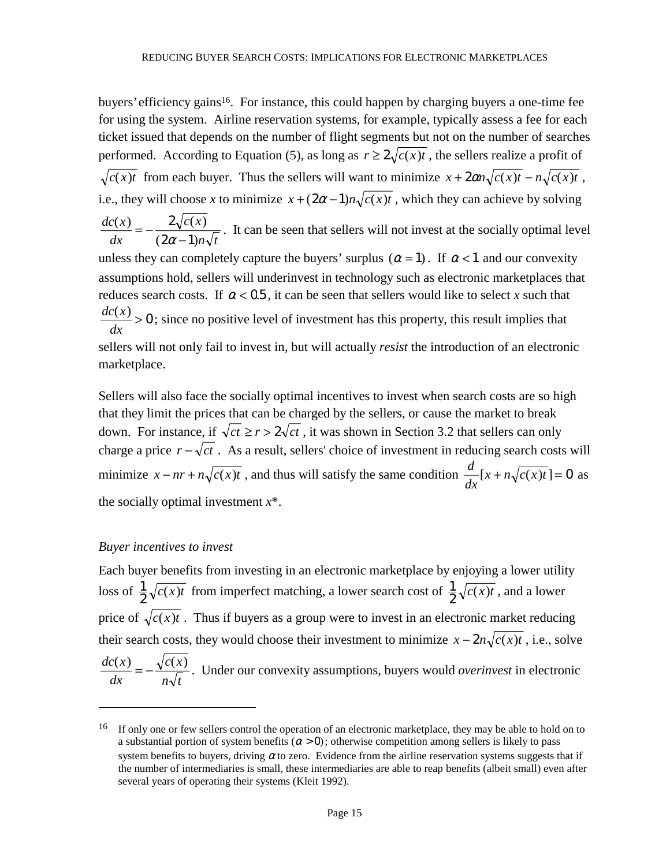buyers' efficiency gains<sup>16</sup>. For instance, this could happen by charging buyers a one-time fee for using the system. Airline reservation systems, for example, typically assess a fee for each ticket issued that depends on the number of flight segments but not on the number of searches performed. According to Equation (5), as long as  $r \geq 2\sqrt{c(x)t}$ , the sellers realize a profit of  $\sqrt{c(x)t}$  from each buyer. Thus the sellers will want to minimize  $x + 2\alpha n \sqrt{c(x)t} - n \sqrt{c(x)t}$ , i.e., they will choose *x* to minimize  $x + (2\alpha - 1)n\sqrt{c(x)t}$ , which they can achieve by solving *dc x dx c x*  $n \sqrt{t}$  $\frac{(x)}{dx} = -\frac{2\sqrt{c(x)}}{(2\alpha-1)n}$  $2\alpha - 1$ . It can be seen that sellers will not invest at the socially optimal level unless they can completely capture the buyers' surplus  $(\alpha = 1)$ . If  $\alpha < 1$  and our convexity assumptions hold, sellers will underinvest in technology such as electronic marketplaces that reduces search costs. If  $\alpha$  < 0.5, it can be seen that sellers would like to select *x* such that *dc x dx*  $\frac{f(x)}{f} > 0$ ; since no positive level of investment has this property, this result implies that sellers will not only fail to invest in, but will actually *resist* the introduction of an electronic marketplace.

Sellers will also face the socially optimal incentives to invest when search costs are so high that they limit the prices that can be charged by the sellers, or cause the market to break down. For instance, if  $\sqrt{ct} \ge r > 2\sqrt{ct}$ , it was shown in Section 3.2 that sellers can only charge a price  $r - \sqrt{ct}$ . As a result, sellers' choice of investment in reducing search costs will minimize  $x - nr + n\sqrt{c(x)t}$ , and thus will satisfy the same condition  $\frac{d}{dx}$ *dx*  $[x + n\sqrt{c(x)t}] = 0$  as the socially optimal investment *x*\*.

#### *Buyer incentives to invest*

 $\overline{a}$ 

Each buyer benefits from investing in an electronic marketplace by enjoying a lower utility loss of  $\frac{1}{2} \sqrt{c(x)t}$  from imperfect matching, a lower search cost of  $\frac{1}{2} \sqrt{c(x)t}$ , and a lower price of  $\sqrt{c(x)t}$ . Thus if buyers as a group were to invest in an electronic market reducing their search costs, they would choose their investment to minimize  $x - 2n\sqrt{c(x)t}$ , i.e., solve *dc x dx*  $c(x)$  $n \sqrt{t}$  $\frac{f(x)}{f} = -\frac{\sqrt{c(x)}}{\sqrt{x}}$ . Under our convexity assumptions, buyers would *overinvest* in electronic

<sup>16</sup> If only one or few sellers control the operation of an electronic marketplace, they may be able to hold on to a substantial portion of system benefits  $(a > 0)$ ; otherwise competition among sellers is likely to pass system benefits to buyers, driving  $\alpha$  to zero. Evidence from the airline reservation systems suggests that if the number of intermediaries is small, these intermediaries are able to reap benefits (albeit small) even after several years of operating their systems (Kleit 1992).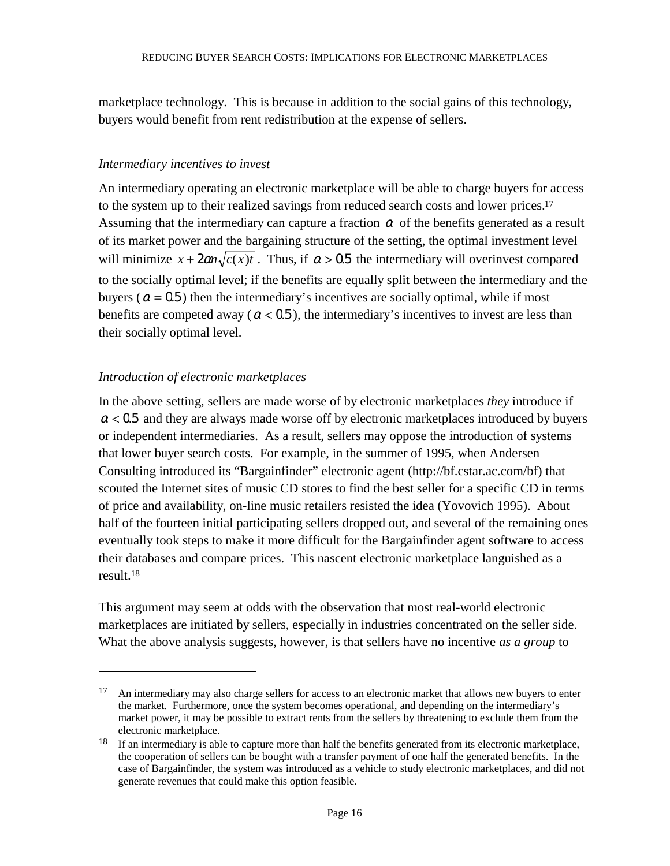marketplace technology. This is because in addition to the social gains of this technology, buyers would benefit from rent redistribution at the expense of sellers.

## *Intermediary incentives to invest*

An intermediary operating an electronic marketplace will be able to charge buyers for access to the system up to their realized savings from reduced search costs and lower prices.<sup>17</sup> Assuming that the intermediary can capture a fraction  $\alpha$  of the benefits generated as a result of its market power and the bargaining structure of the setting, the optimal investment level will minimize  $x + 2\alpha n \sqrt{c(x)t}$ . Thus, if  $\alpha > 0.5$  the intermediary will overinvest compared to the socially optimal level; if the benefits are equally split between the intermediary and the buyers ( $\alpha$  = 0.5) then the intermediary's incentives are socially optimal, while if most benefits are competed away ( $\alpha$  < 0.5), the intermediary's incentives to invest are less than their socially optimal level.

# *Introduction of electronic marketplaces*

 $\overline{a}$ 

In the above setting, sellers are made worse of by electronic marketplaces *they* introduce if  $\alpha$  < 0.5 and they are always made worse off by electronic marketplaces introduced by buyers or independent intermediaries. As a result, sellers may oppose the introduction of systems that lower buyer search costs. For example, in the summer of 1995, when Andersen Consulting introduced its "Bargainfinder" electronic agent (http://bf.cstar.ac.com/bf) that scouted the Internet sites of music CD stores to find the best seller for a specific CD in terms of price and availability, on-line music retailers resisted the idea (Yovovich 1995). About half of the fourteen initial participating sellers dropped out, and several of the remaining ones eventually took steps to make it more difficult for the Bargainfinder agent software to access their databases and compare prices. This nascent electronic marketplace languished as a result.18

This argument may seem at odds with the observation that most real-world electronic marketplaces are initiated by sellers, especially in industries concentrated on the seller side. What the above analysis suggests, however, is that sellers have no incentive *as a group* to

<sup>&</sup>lt;sup>17</sup> An intermediary may also charge sellers for access to an electronic market that allows new buyers to enter the market. Furthermore, once the system becomes operational, and depending on the intermediary's market power, it may be possible to extract rents from the sellers by threatening to exclude them from the electronic marketplace.

<sup>&</sup>lt;sup>18</sup> If an intermediary is able to capture more than half the benefits generated from its electronic marketplace, the cooperation of sellers can be bought with a transfer payment of one half the generated benefits. In the case of Bargainfinder, the system was introduced as a vehicle to study electronic marketplaces, and did not generate revenues that could make this option feasible.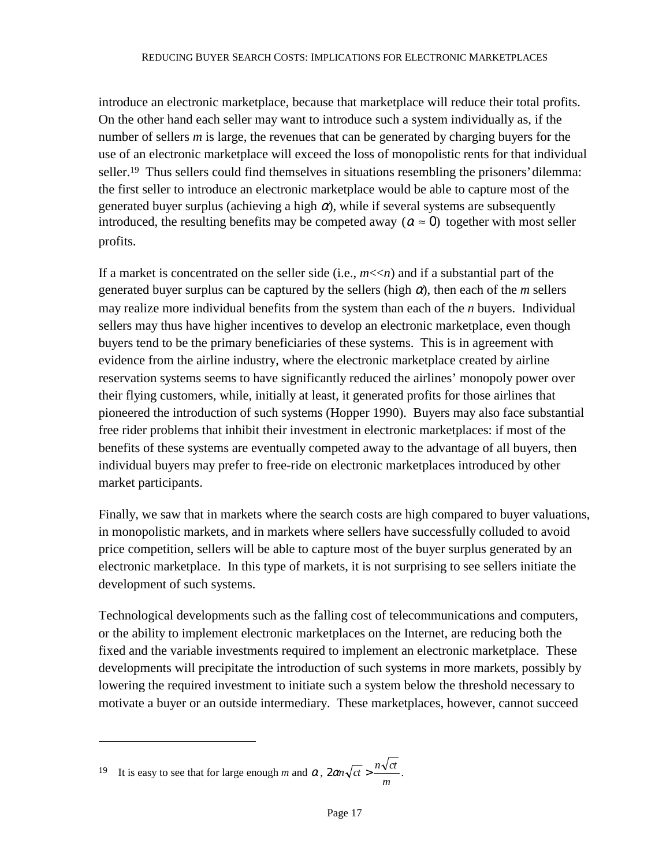introduce an electronic marketplace, because that marketplace will reduce their total profits. On the other hand each seller may want to introduce such a system individually as, if the number of sellers *m* is large, the revenues that can be generated by charging buyers for the use of an electronic marketplace will exceed the loss of monopolistic rents for that individual seller.<sup>19</sup> Thus sellers could find themselves in situations resembling the prisoners' dilemma: the first seller to introduce an electronic marketplace would be able to capture most of the generated buyer surplus (achieving a high  $\alpha$ ), while if several systems are subsequently introduced, the resulting benefits may be competed away ( $\alpha \approx 0$ ) together with most seller profits.

If a market is concentrated on the seller side (i.e.,  $m \ll n$ ) and if a substantial part of the generated buyer surplus can be captured by the sellers (high  $\alpha$ ), then each of the *m* sellers may realize more individual benefits from the system than each of the *n* buyers. Individual sellers may thus have higher incentives to develop an electronic marketplace, even though buyers tend to be the primary beneficiaries of these systems. This is in agreement with evidence from the airline industry, where the electronic marketplace created by airline reservation systems seems to have significantly reduced the airlines' monopoly power over their flying customers, while, initially at least, it generated profits for those airlines that pioneered the introduction of such systems (Hopper 1990). Buyers may also face substantial free rider problems that inhibit their investment in electronic marketplaces: if most of the benefits of these systems are eventually competed away to the advantage of all buyers, then individual buyers may prefer to free-ride on electronic marketplaces introduced by other market participants.

Finally, we saw that in markets where the search costs are high compared to buyer valuations, in monopolistic markets, and in markets where sellers have successfully colluded to avoid price competition, sellers will be able to capture most of the buyer surplus generated by an electronic marketplace. In this type of markets, it is not surprising to see sellers initiate the development of such systems.

Technological developments such as the falling cost of telecommunications and computers, or the ability to implement electronic marketplaces on the Internet, are reducing both the fixed and the variable investments required to implement an electronic marketplace. These developments will precipitate the introduction of such systems in more markets, possibly by lowering the required investment to initiate such a system below the threshold necessary to motivate a buyer or an outside intermediary. These marketplaces, however, cannot succeed

 $\overline{a}$ 

<sup>19</sup> It is easy to see that for large enough *m* and  $\alpha$ ,  $2\alpha n \sqrt{ct} > \frac{n \sqrt{ct}}{m}$ .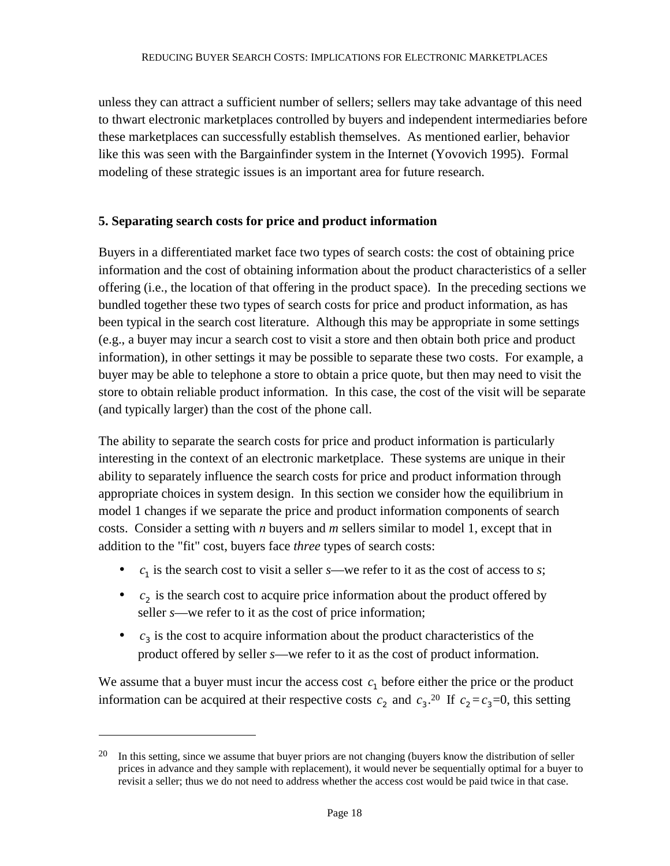unless they can attract a sufficient number of sellers; sellers may take advantage of this need to thwart electronic marketplaces controlled by buyers and independent intermediaries before these marketplaces can successfully establish themselves. As mentioned earlier, behavior like this was seen with the Bargainfinder system in the Internet (Yovovich 1995). Formal modeling of these strategic issues is an important area for future research.

# **5. Separating search costs for price and product information**

Buyers in a differentiated market face two types of search costs: the cost of obtaining price information and the cost of obtaining information about the product characteristics of a seller offering (i.e., the location of that offering in the product space). In the preceding sections we bundled together these two types of search costs for price and product information, as has been typical in the search cost literature. Although this may be appropriate in some settings (e.g., a buyer may incur a search cost to visit a store and then obtain both price and product information), in other settings it may be possible to separate these two costs. For example, a buyer may be able to telephone a store to obtain a price quote, but then may need to visit the store to obtain reliable product information. In this case, the cost of the visit will be separate (and typically larger) than the cost of the phone call.

The ability to separate the search costs for price and product information is particularly interesting in the context of an electronic marketplace. These systems are unique in their ability to separately influence the search costs for price and product information through appropriate choices in system design. In this section we consider how the equilibrium in model 1 changes if we separate the price and product information components of search costs. Consider a setting with *n* buyers and *m* sellers similar to model 1, except that in addition to the "fit" cost, buyers face *three* types of search costs:

- $c_1$  is the search cost to visit a seller *s*—we refer to it as the cost of access to *s*;
- $c_2$  is the search cost to acquire price information about the product offered by seller *s*—we refer to it as the cost of price information;
- $\bullet$   $c_3$  is the cost to acquire information about the product characteristics of the product offered by seller *s*—we refer to it as the cost of product information.

We assume that a buyer must incur the access cost  $c_1$  before either the price or the product information can be acquired at their respective costs  $c_2$  and  $c_3$ .<sup>20</sup> If  $c_2 = c_3 = 0$ , this setting

 $\overline{a}$ 

<sup>&</sup>lt;sup>20</sup> In this setting, since we assume that buyer priors are not changing (buyers know the distribution of seller prices in advance and they sample with replacement), it would never be sequentially optimal for a buyer to revisit a seller; thus we do not need to address whether the access cost would be paid twice in that case.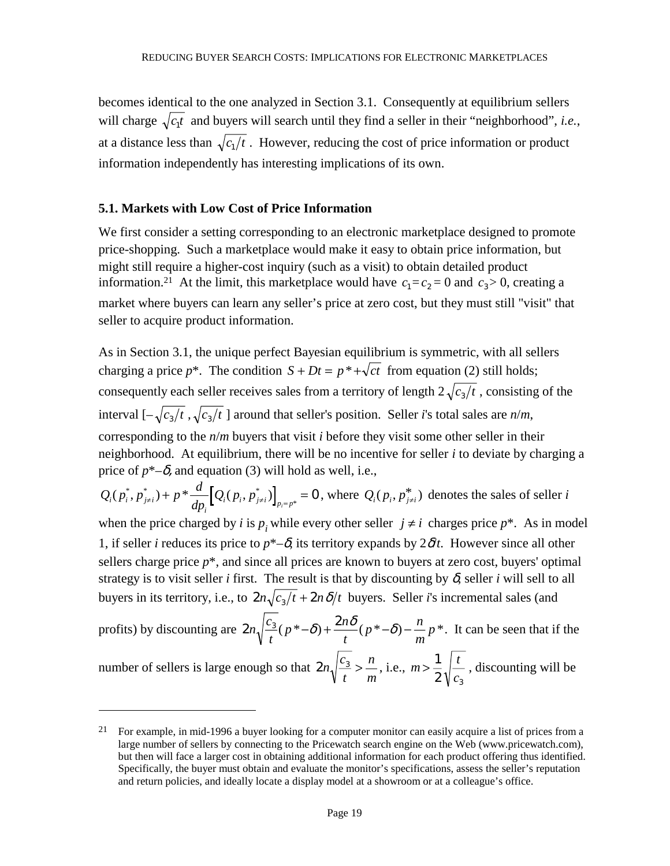becomes identical to the one analyzed in Section 3.1. Consequently at equilibrium sellers will charge  $\sqrt{c_1 t}$  and buyers will search until they find a seller in their "neighborhood", *i.e.*, at a distance less than  $\sqrt{c_1/t}$ . However, reducing the cost of price information or product information independently has interesting implications of its own.

### **5.1. Markets with Low Cost of Price Information**

 $\overline{a}$ 

We first consider a setting corresponding to an electronic marketplace designed to promote price-shopping. Such a marketplace would make it easy to obtain price information, but might still require a higher-cost inquiry (such as a visit) to obtain detailed product information.<sup>21</sup> At the limit, this marketplace would have  $c_1 = c_2 = 0$  and  $c_3 > 0$ , creating a market where buyers can learn any seller's price at zero cost, but they must still "visit" that seller to acquire product information.

As in Section 3.1, the unique perfect Bayesian equilibrium is symmetric, with all sellers charging a price  $p^*$ . The condition  $S + Dt = p^* + \sqrt{ct}$  from equation (2) still holds; consequently each seller receives sales from a territory of length  $2\sqrt{c_3/t}$ , consisting of the interval  $\left[-\sqrt{c_3/t}, \sqrt{c_3/t}\right]$  around that seller's position. Seller *i*'s total sales are *n/m*, corresponding to the *n*/*m* buyers that visit *i* before they visit some other seller in their neighborhood. At equilibrium, there will be no incentive for seller *i* to deviate by charging a price of  $p^*$ – $\delta$ , and equation (3) will hold as well, i.e.,

 $Q_i(p_i^*, p_{j\neq i}^*) + p^* \frac{d}{dp_i} [Q_i(p_i, p_{j\neq i}^*)]_{p_i = p^*} = 0$ , where  $Q_i(p_i, p_{j\neq i}^*)$  denotes the sales of seller *i* when the price charged by *i* is  $p_i$  while every other seller  $j \neq i$  charges price  $p^*$ . As in model

1, if seller *i* reduces its price to  $p^*$ – $\delta$ , its territory expands by  $2\delta t$ . However since all other sellers charge price  $p^*$ , and since all prices are known to buyers at zero cost, buyers' optimal strategy is to visit seller *i* first. The result is that by discounting by  $\delta$ , seller *i* will sell to all buyers in its territory, i.e., to  $2n\sqrt{c_1/t} + 2n\delta/t$  buyers. Seller *i*'s incremental sales (and

profits) by discounting are  $2n\sqrt{\frac{c_3}{g}(p^*-\delta)} + \frac{2}{g}$ *t*  $p^* - \delta$ ) +  $\frac{2n}{n}$ *t*  $p^*-\delta$ ) –  $\frac{n}{n}$ *m*  $(p^*-\delta) + \frac{2n\delta}{p^*-\delta}$  $(p^*-\delta) - \frac{n}{p^*}$ . It can be seen that if the

number of sellers is large enough so that  $2n\sqrt{\frac{c_3}{a}}$ *t n m*  $> \frac{n}{n}$ , i.e.,  $m > \frac{1}{2} \left| \frac{t}{t} \right|$ *c*  $>\frac{1}{2}$ 2  $\sqrt{c_3}$ , discounting will be

<sup>&</sup>lt;sup>21</sup> For example, in mid-1996 a buyer looking for a computer monitor can easily acquire a list of prices from a large number of sellers by connecting to the Pricewatch search engine on the Web (www.pricewatch.com), but then will face a larger cost in obtaining additional information for each product offering thus identified. Specifically, the buyer must obtain and evaluate the monitor's specifications, assess the seller's reputation and return policies, and ideally locate a display model at a showroom or at a colleague's office.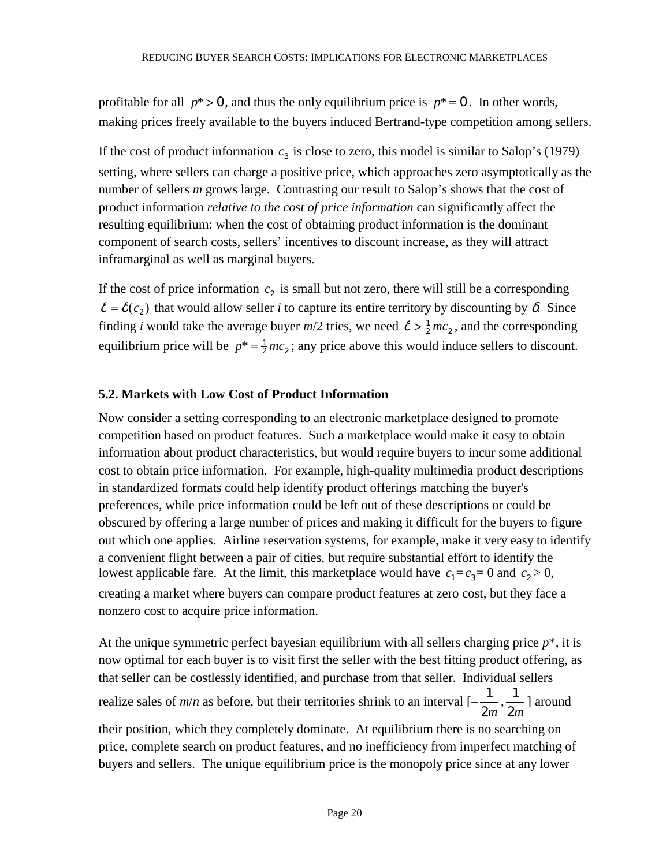profitable for all  $p^* > 0$ , and thus the only equilibrium price is  $p^* = 0$ . In other words, making prices freely available to the buyers induced Bertrand-type competition among sellers.

If the cost of product information  $c_3$  is close to zero, this model is similar to Salop's (1979) setting, where sellers can charge a positive price, which approaches zero asymptotically as the number of sellers *m* grows large. Contrasting our result to Salop's shows that the cost of product information *relative to the cost of price information* can significantly affect the resulting equilibrium: when the cost of obtaining product information is the dominant component of search costs, sellers' incentives to discount increase, as they will attract inframarginal as well as marginal buyers.

If the cost of price information  $c<sub>2</sub>$  is small but not zero, there will still be a corresponding  $\delta = \delta(c_2)$  that would allow seller *i* to capture its entire territory by discounting by  $\delta$ . Since finding *i* would take the average buyer  $m/2$  tries, we need  $\delta > \frac{1}{2}mc_2$ , and the corresponding equilibrium price will be  $p^* = \frac{1}{2}mc_2$ ; any price above this would induce sellers to discount.

# **5.2. Markets with Low Cost of Product Information**

Now consider a setting corresponding to an electronic marketplace designed to promote competition based on product features. Such a marketplace would make it easy to obtain information about product characteristics, but would require buyers to incur some additional cost to obtain price information. For example, high-quality multimedia product descriptions in standardized formats could help identify product offerings matching the buyer's preferences, while price information could be left out of these descriptions or could be obscured by offering a large number of prices and making it difficult for the buyers to figure out which one applies. Airline reservation systems, for example, make it very easy to identify a convenient flight between a pair of cities, but require substantial effort to identify the lowest applicable fare. At the limit, this marketplace would have  $c_1 = c_3 = 0$  and  $c_2 > 0$ , creating a market where buyers can compare product features at zero cost, but they face a nonzero cost to acquire price information.

At the unique symmetric perfect bayesian equilibrium with all sellers charging price  $p^*$ , it is now optimal for each buyer is to visit first the seller with the best fitting product offering, as that seller can be costlessly identified, and purchase from that seller. Individual sellers realize sales of  $m/n$  as before, but their territories shrink to an interval  $\left[-\frac{1}{2m}, \frac{1}{2m}\right]$ ] around their position, which they completely dominate. At equilibrium there is no searching on price, complete search on product features, and no inefficiency from imperfect matching of buyers and sellers. The unique equilibrium price is the monopoly price since at any lower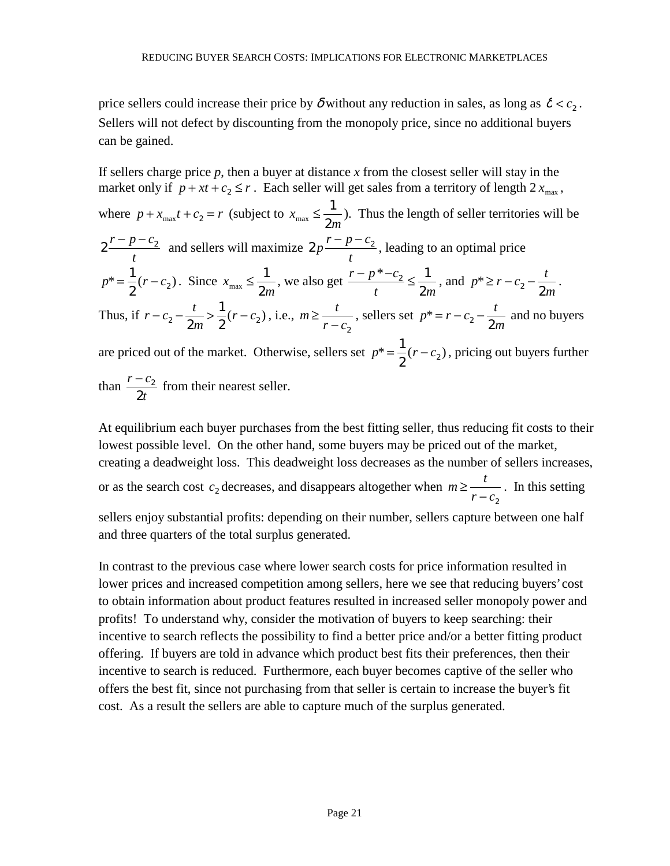price sellers could increase their price by  $\delta$  without any reduction in sales, as long as  $\delta < c_2$ . Sellers will not defect by discounting from the monopoly price, since no additional buyers can be gained.

If sellers charge price  $p$ , then a buyer at distance  $x$  from the closest seller will stay in the market only if  $p + xt + c_2 \le r$ . Each seller will get sales from a territory of length  $2 x_{\text{max}}$ , where  $p + x_{\text{max}}t + c_2 = r$  (subject to  $x_{\text{max}} \le \frac{1}{2m}$ ). Thus the length of seller territories will be  $2 \frac{r-p-c_2}{r}$ *t*  $-p-c_2$  and sellers will maximize  $2p \frac{r-p-c_2}{r}$ *t*  $\frac{-p-c_2}{p}$ , leading to an optimal price  $p^* = \frac{1}{2}(r - c_2)$ . Since  $x_{\text{max}} \le \frac{1}{2m}$ , we also get  $\frac{r - p^* - c_2}{t} \le \frac{1}{2m}$  $\frac{-p^* - c_2}{t} \le \frac{1}{2m}$ , and  $p^* \ge r - c_2 - \frac{t}{2n}$  $\sum_{i=1}^{n} r - c_2 - \frac{1}{2m}$ . Thus, if  $r - c_2 - \frac{t}{2}$  $-c_2 - \frac{t}{2m} > \frac{1}{2}(r - c_2)$ 2  $(r - c_2)$ , i.e.,  $m \ge \frac{t}{t}$  $\geq \frac{t}{r - c_2}$ , sellers set  $p^* = r - c_2 - \frac{t}{2r}$  $* = r - c_2 - \frac{r}{2m}$  and no buyers are priced out of the market. Otherwise, sellers set  $p^* = \frac{1}{2}(r - c_2)$ , pricing out buyers further

than  $\frac{r-c}{2}$ *t*  $-c_2$ 2 from their nearest seller.

At equilibrium each buyer purchases from the best fitting seller, thus reducing fit costs to their lowest possible level. On the other hand, some buyers may be priced out of the market, creating a deadweight loss. This deadweight loss decreases as the number of sellers increases, or as the search cost  $c_2$  decreases, and disappears altogether when  $m \ge \frac{t}{a}$  $\geq \frac{r}{r - c_2}$ . In this setting sellers enjoy substantial profits: depending on their number, sellers capture between one half and three quarters of the total surplus generated.

In contrast to the previous case where lower search costs for price information resulted in lower prices and increased competition among sellers, here we see that reducing buyers' cost to obtain information about product features resulted in increased seller monopoly power and profits! To understand why, consider the motivation of buyers to keep searching: their incentive to search reflects the possibility to find a better price and/or a better fitting product offering. If buyers are told in advance which product best fits their preferences, then their incentive to search is reduced. Furthermore, each buyer becomes captive of the seller who offers the best fit, since not purchasing from that seller is certain to increase the buyer's fit cost. As a result the sellers are able to capture much of the surplus generated.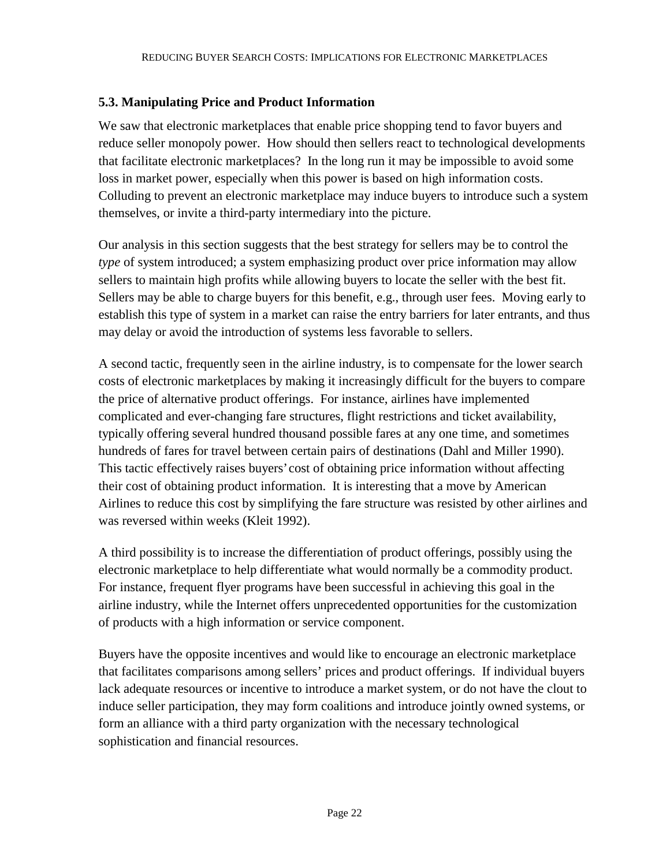# **5.3. Manipulating Price and Product Information**

We saw that electronic marketplaces that enable price shopping tend to favor buyers and reduce seller monopoly power. How should then sellers react to technological developments that facilitate electronic marketplaces? In the long run it may be impossible to avoid some loss in market power, especially when this power is based on high information costs. Colluding to prevent an electronic marketplace may induce buyers to introduce such a system themselves, or invite a third-party intermediary into the picture.

Our analysis in this section suggests that the best strategy for sellers may be to control the *type* of system introduced; a system emphasizing product over price information may allow sellers to maintain high profits while allowing buyers to locate the seller with the best fit. Sellers may be able to charge buyers for this benefit, e.g., through user fees. Moving early to establish this type of system in a market can raise the entry barriers for later entrants, and thus may delay or avoid the introduction of systems less favorable to sellers.

A second tactic, frequently seen in the airline industry, is to compensate for the lower search costs of electronic marketplaces by making it increasingly difficult for the buyers to compare the price of alternative product offerings. For instance, airlines have implemented complicated and ever-changing fare structures, flight restrictions and ticket availability, typically offering several hundred thousand possible fares at any one time, and sometimes hundreds of fares for travel between certain pairs of destinations (Dahl and Miller 1990). This tactic effectively raises buyers' cost of obtaining price information without affecting their cost of obtaining product information. It is interesting that a move by American Airlines to reduce this cost by simplifying the fare structure was resisted by other airlines and was reversed within weeks (Kleit 1992).

A third possibility is to increase the differentiation of product offerings, possibly using the electronic marketplace to help differentiate what would normally be a commodity product. For instance, frequent flyer programs have been successful in achieving this goal in the airline industry, while the Internet offers unprecedented opportunities for the customization of products with a high information or service component.

Buyers have the opposite incentives and would like to encourage an electronic marketplace that facilitates comparisons among sellers' prices and product offerings. If individual buyers lack adequate resources or incentive to introduce a market system, or do not have the clout to induce seller participation, they may form coalitions and introduce jointly owned systems, or form an alliance with a third party organization with the necessary technological sophistication and financial resources.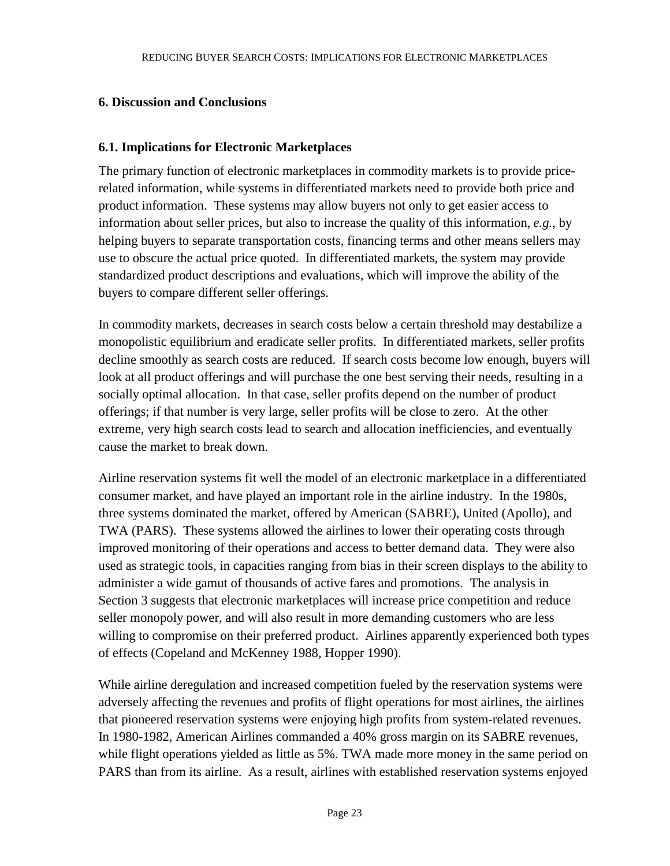# **6. Discussion and Conclusions**

# **6.1. Implications for Electronic Marketplaces**

The primary function of electronic marketplaces in commodity markets is to provide pricerelated information, while systems in differentiated markets need to provide both price and product information. These systems may allow buyers not only to get easier access to information about seller prices, but also to increase the quality of this information, *e.g.*, by helping buyers to separate transportation costs, financing terms and other means sellers may use to obscure the actual price quoted. In differentiated markets, the system may provide standardized product descriptions and evaluations, which will improve the ability of the buyers to compare different seller offerings.

In commodity markets, decreases in search costs below a certain threshold may destabilize a monopolistic equilibrium and eradicate seller profits. In differentiated markets, seller profits decline smoothly as search costs are reduced. If search costs become low enough, buyers will look at all product offerings and will purchase the one best serving their needs, resulting in a socially optimal allocation. In that case, seller profits depend on the number of product offerings; if that number is very large, seller profits will be close to zero. At the other extreme, very high search costs lead to search and allocation inefficiencies, and eventually cause the market to break down.

Airline reservation systems fit well the model of an electronic marketplace in a differentiated consumer market, and have played an important role in the airline industry. In the 1980s, three systems dominated the market, offered by American (SABRE), United (Apollo), and TWA (PARS). These systems allowed the airlines to lower their operating costs through improved monitoring of their operations and access to better demand data. They were also used as strategic tools, in capacities ranging from bias in their screen displays to the ability to administer a wide gamut of thousands of active fares and promotions. The analysis in Section 3 suggests that electronic marketplaces will increase price competition and reduce seller monopoly power, and will also result in more demanding customers who are less willing to compromise on their preferred product. Airlines apparently experienced both types of effects (Copeland and McKenney 1988, Hopper 1990).

While airline deregulation and increased competition fueled by the reservation systems were adversely affecting the revenues and profits of flight operations for most airlines, the airlines that pioneered reservation systems were enjoying high profits from system-related revenues. In 1980-1982, American Airlines commanded a 40% gross margin on its SABRE revenues, while flight operations yielded as little as 5%. TWA made more money in the same period on PARS than from its airline. As a result, airlines with established reservation systems enjoyed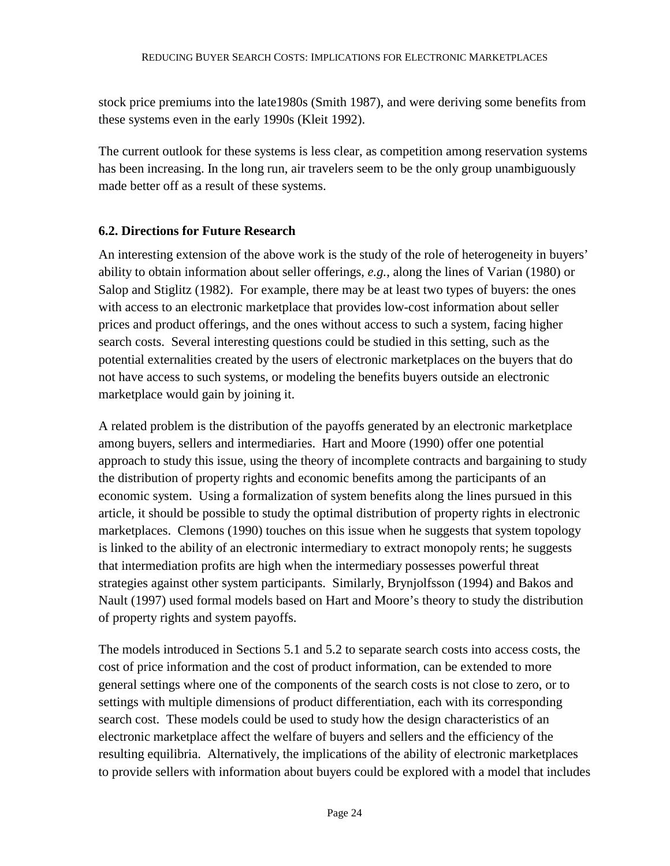stock price premiums into the late1980s (Smith 1987), and were deriving some benefits from these systems even in the early 1990s (Kleit 1992).

The current outlook for these systems is less clear, as competition among reservation systems has been increasing. In the long run, air travelers seem to be the only group unambiguously made better off as a result of these systems.

# **6.2. Directions for Future Research**

An interesting extension of the above work is the study of the role of heterogeneity in buyers' ability to obtain information about seller offerings, *e.g.*, along the lines of Varian (1980) or Salop and Stiglitz (1982). For example, there may be at least two types of buyers: the ones with access to an electronic marketplace that provides low-cost information about seller prices and product offerings, and the ones without access to such a system, facing higher search costs. Several interesting questions could be studied in this setting, such as the potential externalities created by the users of electronic marketplaces on the buyers that do not have access to such systems, or modeling the benefits buyers outside an electronic marketplace would gain by joining it.

A related problem is the distribution of the payoffs generated by an electronic marketplace among buyers, sellers and intermediaries. Hart and Moore (1990) offer one potential approach to study this issue, using the theory of incomplete contracts and bargaining to study the distribution of property rights and economic benefits among the participants of an economic system. Using a formalization of system benefits along the lines pursued in this article, it should be possible to study the optimal distribution of property rights in electronic marketplaces. Clemons (1990) touches on this issue when he suggests that system topology is linked to the ability of an electronic intermediary to extract monopoly rents; he suggests that intermediation profits are high when the intermediary possesses powerful threat strategies against other system participants. Similarly, Brynjolfsson (1994) and Bakos and Nault (1997) used formal models based on Hart and Moore's theory to study the distribution of property rights and system payoffs.

The models introduced in Sections 5.1 and 5.2 to separate search costs into access costs, the cost of price information and the cost of product information, can be extended to more general settings where one of the components of the search costs is not close to zero, or to settings with multiple dimensions of product differentiation, each with its corresponding search cost. These models could be used to study how the design characteristics of an electronic marketplace affect the welfare of buyers and sellers and the efficiency of the resulting equilibria. Alternatively, the implications of the ability of electronic marketplaces to provide sellers with information about buyers could be explored with a model that includes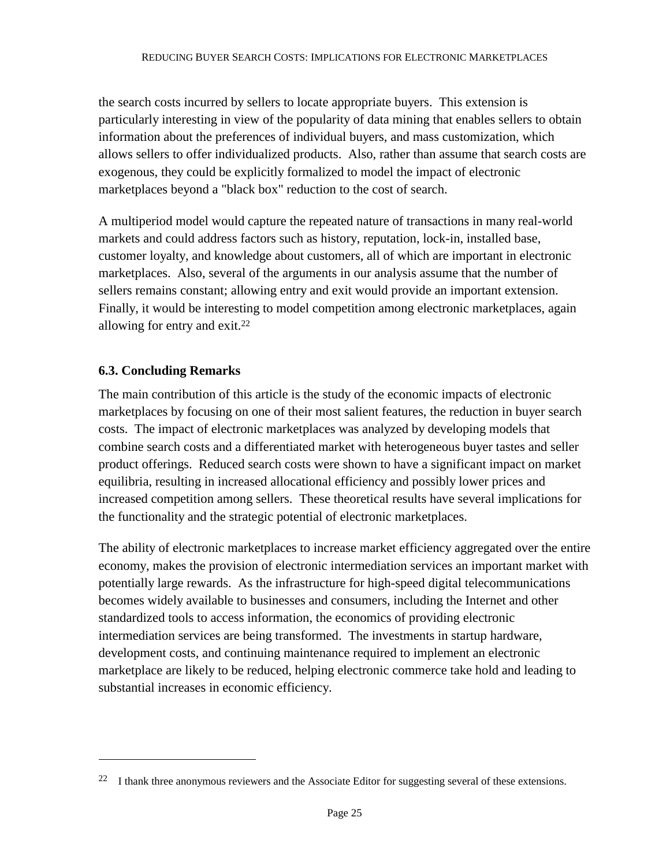the search costs incurred by sellers to locate appropriate buyers. This extension is particularly interesting in view of the popularity of data mining that enables sellers to obtain information about the preferences of individual buyers, and mass customization, which allows sellers to offer individualized products. Also, rather than assume that search costs are exogenous, they could be explicitly formalized to model the impact of electronic marketplaces beyond a "black box" reduction to the cost of search.

A multiperiod model would capture the repeated nature of transactions in many real-world markets and could address factors such as history, reputation, lock-in, installed base, customer loyalty, and knowledge about customers, all of which are important in electronic marketplaces. Also, several of the arguments in our analysis assume that the number of sellers remains constant; allowing entry and exit would provide an important extension. Finally, it would be interesting to model competition among electronic marketplaces, again allowing for entry and exit.22

# **6.3. Concluding Remarks**

 $\overline{a}$ 

The main contribution of this article is the study of the economic impacts of electronic marketplaces by focusing on one of their most salient features, the reduction in buyer search costs. The impact of electronic marketplaces was analyzed by developing models that combine search costs and a differentiated market with heterogeneous buyer tastes and seller product offerings. Reduced search costs were shown to have a significant impact on market equilibria, resulting in increased allocational efficiency and possibly lower prices and increased competition among sellers. These theoretical results have several implications for the functionality and the strategic potential of electronic marketplaces.

The ability of electronic marketplaces to increase market efficiency aggregated over the entire economy, makes the provision of electronic intermediation services an important market with potentially large rewards. As the infrastructure for high-speed digital telecommunications becomes widely available to businesses and consumers, including the Internet and other standardized tools to access information, the economics of providing electronic intermediation services are being transformed. The investments in startup hardware, development costs, and continuing maintenance required to implement an electronic marketplace are likely to be reduced, helping electronic commerce take hold and leading to substantial increases in economic efficiency.

<sup>&</sup>lt;sup>22</sup> I thank three anonymous reviewers and the Associate Editor for suggesting several of these extensions.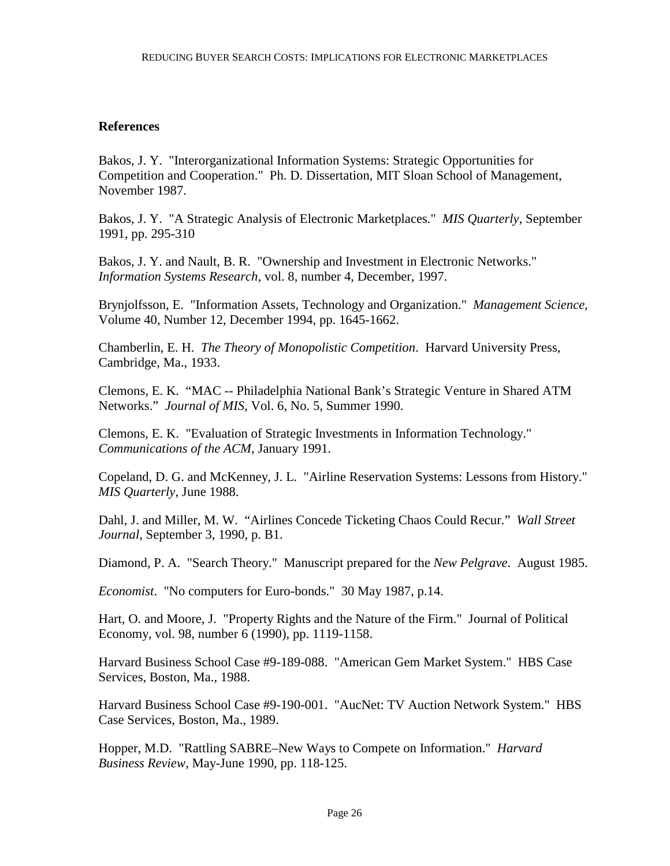# **References**

Bakos, J. Y. "Interorganizational Information Systems: Strategic Opportunities for Competition and Cooperation." Ph. D. Dissertation, MIT Sloan School of Management, November 1987.

Bakos, J. Y. "A Strategic Analysis of Electronic Marketplaces." *MIS Quarterly*, September 1991, pp. 295-310

Bakos, J. Y. and Nault, B. R. "Ownership and Investment in Electronic Networks." *Information Systems Research*, vol. 8, number 4, December, 1997.

Brynjolfsson, E. "Information Assets, Technology and Organization." *Management Science*, Volume 40, Number 12, December 1994, pp. 1645-1662.

Chamberlin, E. H. *The Theory of Monopolistic Competition*. Harvard University Press, Cambridge, Ma., 1933.

Clemons, E. K. "MAC -- Philadelphia National Bank's Strategic Venture in Shared ATM Networks." *Journal of MIS*, Vol. 6, No. 5, Summer 1990.

Clemons, E. K. "Evaluation of Strategic Investments in Information Technology." *Communications of the ACM*, January 1991.

Copeland, D. G. and McKenney, J. L. "Airline Reservation Systems: Lessons from History." *MIS Quarterly*, June 1988.

Dahl, J. and Miller, M. W. "Airlines Concede Ticketing Chaos Could Recur." *Wall Street Journal*, September 3, 1990, p. B1.

Diamond, P. A. "Search Theory." Manuscript prepared for the *New Pelgrave*. August 1985.

*Economist*. "No computers for Euro-bonds." 30 May 1987, p.14.

Hart, O. and Moore, J. "Property Rights and the Nature of the Firm." Journal of Political Economy, vol. 98, number 6 (1990), pp. 1119-1158.

Harvard Business School Case #9-189-088. "American Gem Market System." HBS Case Services, Boston, Ma., 1988.

Harvard Business School Case #9-190-001. "AucNet: TV Auction Network System." HBS Case Services, Boston, Ma., 1989.

Hopper, M.D. "Rattling SABRE–New Ways to Compete on Information." *Harvard Business Review*, May-June 1990, pp. 118-125.